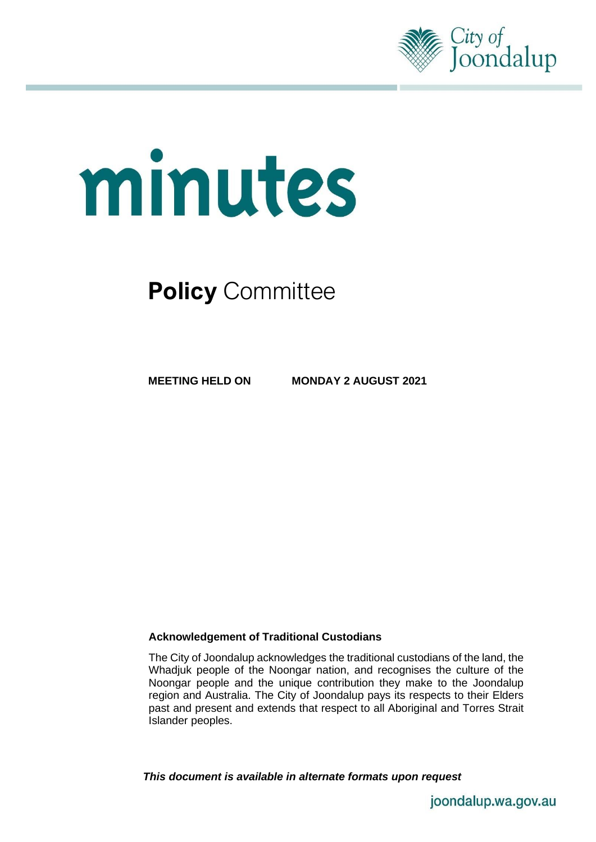

# minutes

# **Policy** Committee

**MEETING HELD ON MONDAY 2 AUGUST 2021**

## **Acknowledgement of Traditional Custodians**

The City of Joondalup acknowledges the traditional custodians of the land, the Whadjuk people of the Noongar nation, and recognises the culture of the Noongar people and the unique contribution they make to the Joondalup region and Australia. The City of Joondalup pays its respects to their Elders past and present and extends that respect to all Aboriginal and Torres Strait Islander peoples.

*This document is available in alternate formats upon request*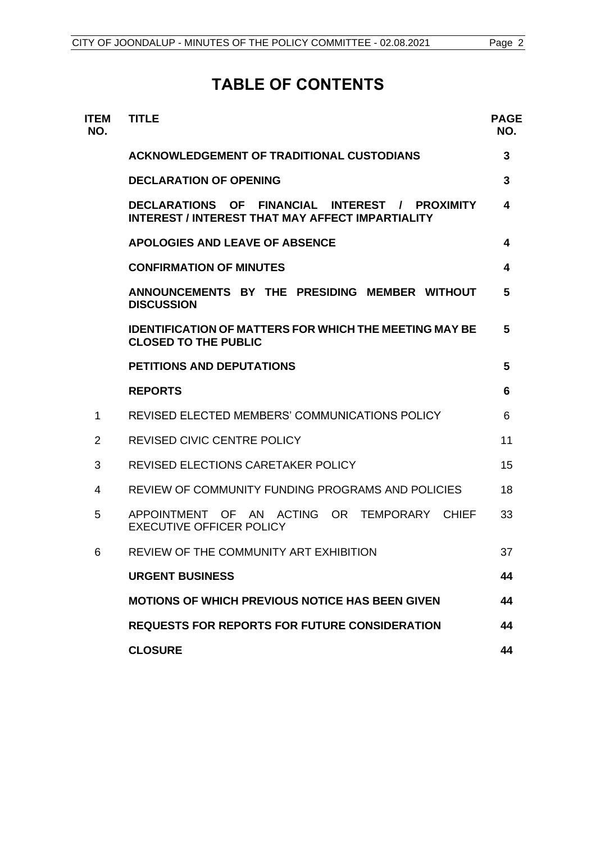# **TABLE OF CONTENTS**

| ITEM<br>NO.    | <b>TITLE</b>                                                                                              | <b>PAGE</b><br>NO. |
|----------------|-----------------------------------------------------------------------------------------------------------|--------------------|
|                | <b>ACKNOWLEDGEMENT OF TRADITIONAL CUSTODIANS</b>                                                          | 3                  |
|                | <b>DECLARATION OF OPENING</b>                                                                             | 3                  |
|                | DECLARATIONS OF FINANCIAL INTEREST / PROXIMITY<br><b>INTEREST / INTEREST THAT MAY AFFECT IMPARTIALITY</b> | 4                  |
|                | <b>APOLOGIES AND LEAVE OF ABSENCE</b>                                                                     | 4                  |
|                | <b>CONFIRMATION OF MINUTES</b>                                                                            | 4                  |
|                | ANNOUNCEMENTS BY THE PRESIDING MEMBER WITHOUT<br><b>DISCUSSION</b>                                        | 5                  |
|                | <b>IDENTIFICATION OF MATTERS FOR WHICH THE MEETING MAY BE</b><br><b>CLOSED TO THE PUBLIC</b>              | 5                  |
|                | <b>PETITIONS AND DEPUTATIONS</b>                                                                          | 5                  |
|                | <b>REPORTS</b>                                                                                            | 6                  |
| 1              | REVISED ELECTED MEMBERS' COMMUNICATIONS POLICY                                                            | 6                  |
| $\overline{2}$ | <b>REVISED CIVIC CENTRE POLICY</b>                                                                        | 11                 |
| 3              | <b>REVISED ELECTIONS CARETAKER POLICY</b>                                                                 | 15                 |
| 4              | REVIEW OF COMMUNITY FUNDING PROGRAMS AND POLICIES                                                         | 18                 |
| 5              | ACTING OR<br>APPOINTMENT OF<br>TEMPORARY<br>AN<br><b>CHIEF</b><br><b>EXECUTIVE OFFICER POLICY</b>         | 33                 |
| 6              | REVIEW OF THE COMMUNITY ART EXHIBITION                                                                    | 37                 |
|                | <b>URGENT BUSINESS</b>                                                                                    | 44                 |
|                | <b>MOTIONS OF WHICH PREVIOUS NOTICE HAS BEEN GIVEN</b>                                                    | 44                 |
|                | <b>REQUESTS FOR REPORTS FOR FUTURE CONSIDERATION</b>                                                      | 44                 |
|                | <b>CLOSURE</b>                                                                                            | 44                 |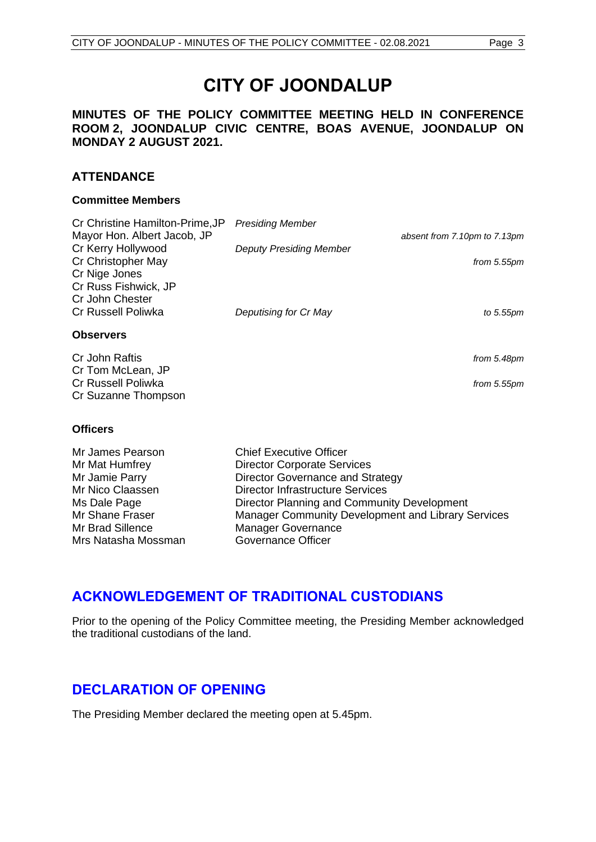## **MINUTES OF THE POLICY COMMITTEE MEETING HELD IN CONFERENCE ROOM 2, JOONDALUP CIVIC CENTRE, BOAS AVENUE, JOONDALUP ON MONDAY 2 AUGUST 2021.**

## **ATTENDANCE**

#### **Committee Members**

| Cr Christine Hamilton-Prime, JP | <b>Presiding Member</b>        |                              |
|---------------------------------|--------------------------------|------------------------------|
| Mayor Hon. Albert Jacob, JP     |                                | absent from 7.10pm to 7.13pm |
| Cr Kerry Hollywood              | <b>Deputy Presiding Member</b> |                              |
| Cr Christopher May              |                                | from 5.55pm                  |
| Cr Nige Jones                   |                                |                              |
| Cr Russ Fishwick, JP            |                                |                              |
| Cr John Chester                 |                                |                              |
| <b>Cr Russell Poliwka</b>       | Deputising for Cr May          | to 5.55pm                    |
| <b>Observers</b>                |                                |                              |
| Cr John Raftis                  |                                | from 5.48pm                  |
| Cr Tom McLean, JP               |                                |                              |
| Cr Russell Poliwka              |                                | from 5.55pm                  |

#### **Officers**

Cr Suzanne Thompson

| <b>Chief Executive Officer</b>                     |
|----------------------------------------------------|
| <b>Director Corporate Services</b>                 |
| Director Governance and Strategy                   |
| <b>Director Infrastructure Services</b>            |
| Director Planning and Community Development        |
| Manager Community Development and Library Services |
| <b>Manager Governance</b>                          |
| <b>Governance Officer</b>                          |
|                                                    |

# <span id="page-2-0"></span>**ACKNOWLEDGEMENT OF TRADITIONAL CUSTODIANS**

Prior to the opening of the Policy Committee meeting, the Presiding Member acknowledged the traditional custodians of the land.

# <span id="page-2-1"></span>**DECLARATION OF OPENING**

The Presiding Member declared the meeting open at 5.45pm.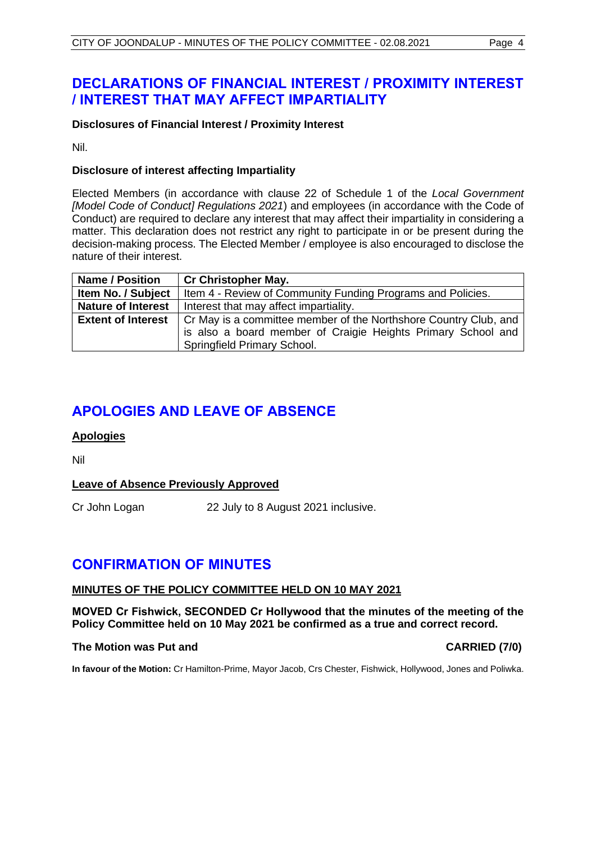# <span id="page-3-0"></span>**DECLARATIONS OF FINANCIAL INTEREST / PROXIMITY INTEREST / INTEREST THAT MAY AFFECT IMPARTIALITY**

#### **Disclosures of Financial Interest / Proximity Interest**

Nil.

#### **Disclosure of interest affecting Impartiality**

Elected Members (in accordance with clause 22 of Schedule 1 of the *Local Government [Model Code of Conduct] Regulations 2021*) and employees (in accordance with the Code of Conduct) are required to declare any interest that may affect their impartiality in considering a matter. This declaration does not restrict any right to participate in or be present during the decision-making process. The Elected Member / employee is also encouraged to disclose the nature of their interest.

| <b>Name / Position</b>    | <b>Cr Christopher May.</b>                                       |
|---------------------------|------------------------------------------------------------------|
| Item No. / Subject        | Item 4 - Review of Community Funding Programs and Policies.      |
| <b>Nature of Interest</b> | Interest that may affect impartiality.                           |
| <b>Extent of Interest</b> | Cr May is a committee member of the Northshore Country Club, and |
|                           | is also a board member of Craigie Heights Primary School and     |
|                           | Springfield Primary School.                                      |

# <span id="page-3-1"></span>**APOLOGIES AND LEAVE OF ABSENCE**

## **Apologies**

Nil

#### **Leave of Absence Previously Approved**

Cr John Logan 22 July to 8 August 2021 inclusive.

# <span id="page-3-2"></span>**CONFIRMATION OF MINUTES**

#### **MINUTES OF THE POLICY COMMITTEE HELD ON 10 MAY 2021**

**MOVED Cr Fishwick, SECONDED Cr Hollywood that the minutes of the meeting of the Policy Committee held on 10 May 2021 be confirmed as a true and correct record.** 

#### **The Motion was Put and CARRIED (7/0)**

**In favour of the Motion:** Cr Hamilton-Prime, Mayor Jacob, Crs Chester, Fishwick, Hollywood, Jones and Poliwka.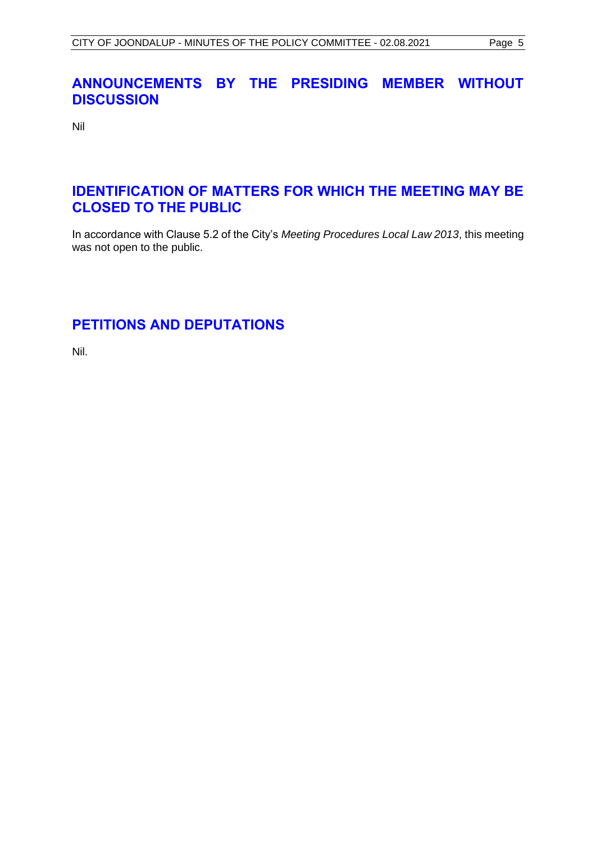# <span id="page-4-0"></span>**ANNOUNCEMENTS BY THE PRESIDING MEMBER WITHOUT DISCUSSION**

Nil

# <span id="page-4-1"></span>**IDENTIFICATION OF MATTERS FOR WHICH THE MEETING MAY BE CLOSED TO THE PUBLIC**

In accordance with Clause 5.2 of the City's *Meeting Procedures Local Law 2013*, this meeting was not open to the public.

# <span id="page-4-2"></span>**PETITIONS AND DEPUTATIONS**

Nil.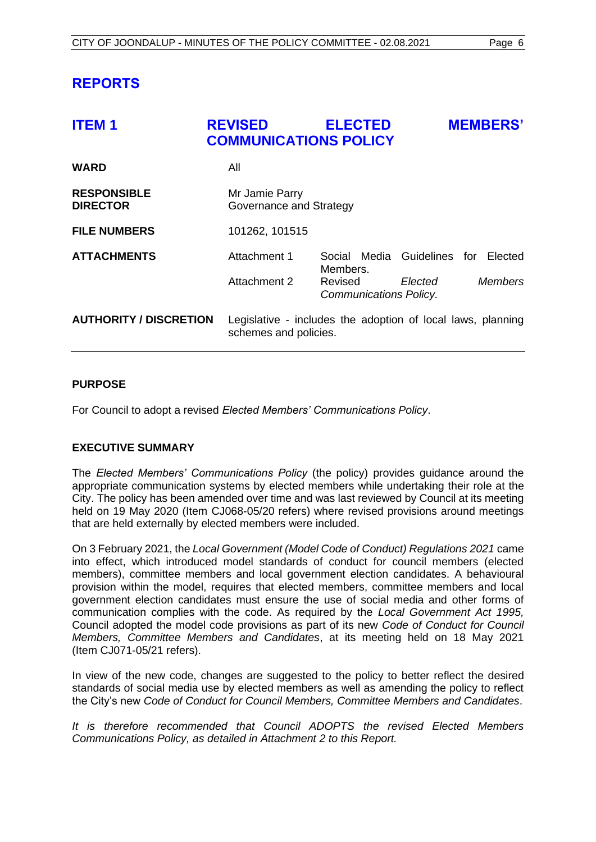# <span id="page-5-0"></span>**REPORTS**

<span id="page-5-1"></span>

| <b>ITEM1</b>                          | <b>REVISED</b><br><b>COMMUNICATIONS POLICY</b>                                       | <b>ELECTED</b>                          |         | <b>MEMBERS'</b> |
|---------------------------------------|--------------------------------------------------------------------------------------|-----------------------------------------|---------|-----------------|
| <b>WARD</b>                           | All                                                                                  |                                         |         |                 |
| <b>RESPONSIBLE</b><br><b>DIRECTOR</b> | Mr Jamie Parry<br>Governance and Strategy                                            |                                         |         |                 |
| <b>FILE NUMBERS</b>                   | 101262, 101515                                                                       |                                         |         |                 |
| <b>ATTACHMENTS</b>                    | Attachment 1                                                                         | Social Media Guidelines for<br>Members. |         | Elected         |
|                                       | <b>Attachment 2</b>                                                                  | Revised<br>Communications Policy.       | Elected | <b>Members</b>  |
| <b>AUTHORITY / DISCRETION</b>         | Legislative - includes the adoption of local laws, planning<br>schemes and policies. |                                         |         |                 |

#### **PURPOSE**

For Council to adopt a revised *Elected Members' Communications Policy*.

## **EXECUTIVE SUMMARY**

The *Elected Members' Communications Policy* (the policy) provides guidance around the appropriate communication systems by elected members while undertaking their role at the City. The policy has been amended over time and was last reviewed by Council at its meeting held on 19 May 2020 (Item CJ068-05/20 refers) where revised provisions around meetings that are held externally by elected members were included.

On 3 February 2021, the *Local Government (Model Code of Conduct) Regulations 2021* came into effect, which introduced model standards of conduct for council members (elected members), committee members and local government election candidates. A behavioural provision within the model, requires that elected members, committee members and local government election candidates must ensure the use of social media and other forms of communication complies with the code. As required by the *Local Government Act 1995,*  Council adopted the model code provisions as part of its new *Code of Conduct for Council Members, Committee Members and Candidates*, at its meeting held on 18 May 2021 (Item CJ071-05/21 refers).

In view of the new code, changes are suggested to the policy to better reflect the desired standards of social media use by elected members as well as amending the policy to reflect the City's new *Code of Conduct for Council Members, Committee Members and Candidates*.

*It is therefore recommended that Council ADOPTS the revised Elected Members Communications Policy, as detailed in Attachment 2 to this Report.*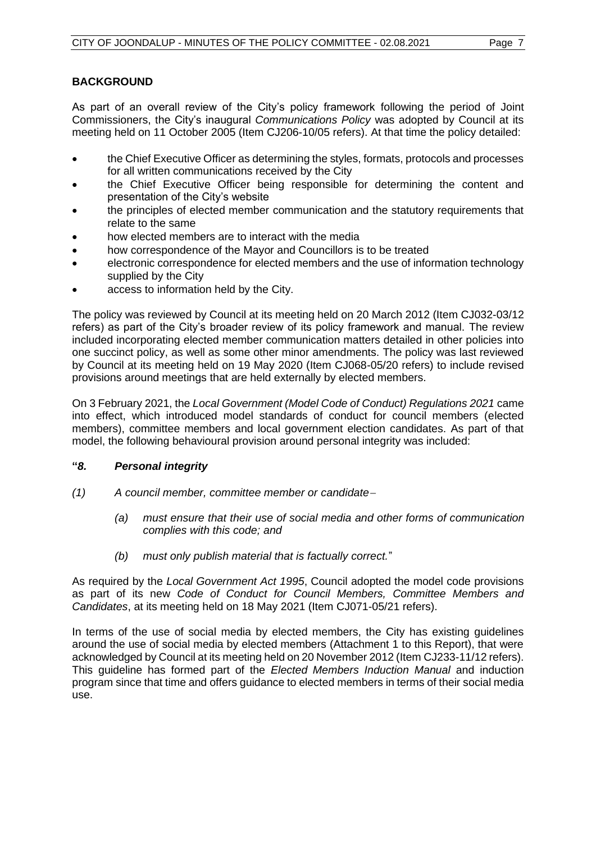As part of an overall review of the City's policy framework following the period of Joint Commissioners, the City's inaugural *Communications Policy* was adopted by Council at its meeting held on 11 October 2005 (Item CJ206-10/05 refers). At that time the policy detailed:

- the Chief Executive Officer as determining the styles, formats, protocols and processes for all written communications received by the City
- the Chief Executive Officer being responsible for determining the content and presentation of the City's website
- the principles of elected member communication and the statutory requirements that relate to the same
- how elected members are to interact with the media
- how correspondence of the Mayor and Councillors is to be treated
- electronic correspondence for elected members and the use of information technology supplied by the City
- access to information held by the City.

The policy was reviewed by Council at its meeting held on 20 March 2012 (Item CJ032-03/12 refers) as part of the City's broader review of its policy framework and manual. The review included incorporating elected member communication matters detailed in other policies into one succinct policy, as well as some other minor amendments. The policy was last reviewed by Council at its meeting held on 19 May 2020 (Item CJ068-05/20 refers) to include revised provisions around meetings that are held externally by elected members.

On 3 February 2021, the *Local Government (Model Code of Conduct) Regulations 2021* came into effect, which introduced model standards of conduct for council members (elected members), committee members and local government election candidates. As part of that model, the following behavioural provision around personal integrity was included:

## **"***8. Personal integrity*

- *(1) A council member, committee member or candidate*<sup>−</sup>
	- *(a) must ensure that their use of social media and other forms of communication complies with this code; and*
	- *(b) must only publish material that is factually correct.*"

As required by the *Local Government Act 1995*, Council adopted the model code provisions as part of its new *Code of Conduct for Council Members, Committee Members and Candidates*, at its meeting held on 18 May 2021 (Item CJ071-05/21 refers).

In terms of the use of social media by elected members, the City has existing guidelines around the use of social media by elected members (Attachment 1 to this Report), that were acknowledged by Council at its meeting held on 20 November 2012 (Item CJ233-11/12 refers). This guideline has formed part of the *Elected Members Induction Manual* and induction program since that time and offers guidance to elected members in terms of their social media use.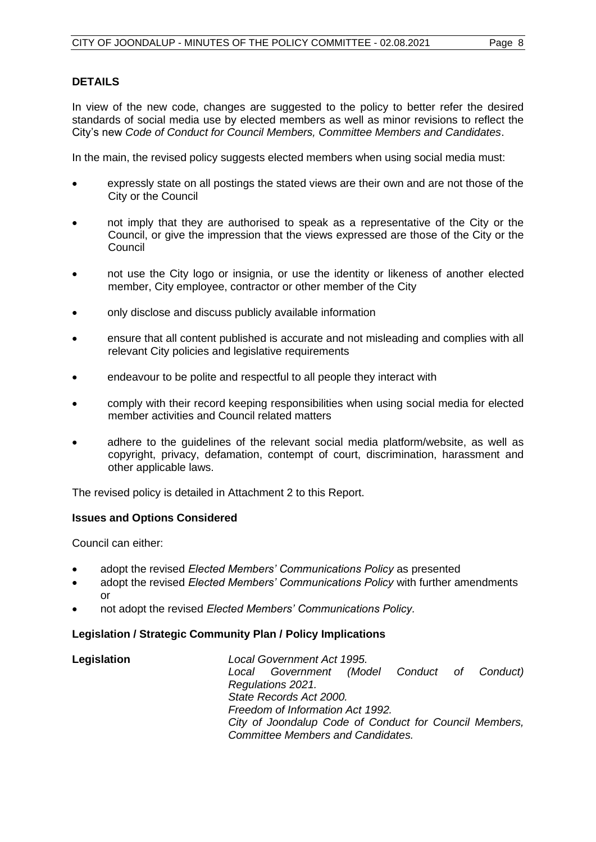### **DETAILS**

In view of the new code, changes are suggested to the policy to better refer the desired standards of social media use by elected members as well as minor revisions to reflect the City's new *Code of Conduct for Council Members, Committee Members and Candidates*.

In the main, the revised policy suggests elected members when using social media must:

- expressly state on all postings the stated views are their own and are not those of the City or the Council
- not imply that they are authorised to speak as a representative of the City or the Council, or give the impression that the views expressed are those of the City or the Council
- not use the City logo or insignia, or use the identity or likeness of another elected member, City employee, contractor or other member of the City
- only disclose and discuss publicly available information
- ensure that all content published is accurate and not misleading and complies with all relevant City policies and legislative requirements
- endeavour to be polite and respectful to all people they interact with
- comply with their record keeping responsibilities when using social media for elected member activities and Council related matters
- adhere to the guidelines of the relevant social media platform/website, as well as copyright, privacy, defamation, contempt of court, discrimination, harassment and other applicable laws.

The revised policy is detailed in Attachment 2 to this Report.

#### **Issues and Options Considered**

Council can either:

- adopt the revised *Elected Members' Communications Policy* as presented
- adopt the revised *Elected Members' Communications Policy* with further amendments or
- not adopt the revised *Elected Members' Communications Policy.*

#### **Legislation / Strategic Community Plan / Policy Implications**

| Legislation | Local Government Act 1995.                             |
|-------------|--------------------------------------------------------|
|             | Local Government (Model Conduct of Conduct)            |
|             | Regulations 2021.                                      |
|             | State Records Act 2000.                                |
|             | Freedom of Information Act 1992.                       |
|             | City of Joondalup Code of Conduct for Council Members, |
|             | <b>Committee Members and Candidates.</b>               |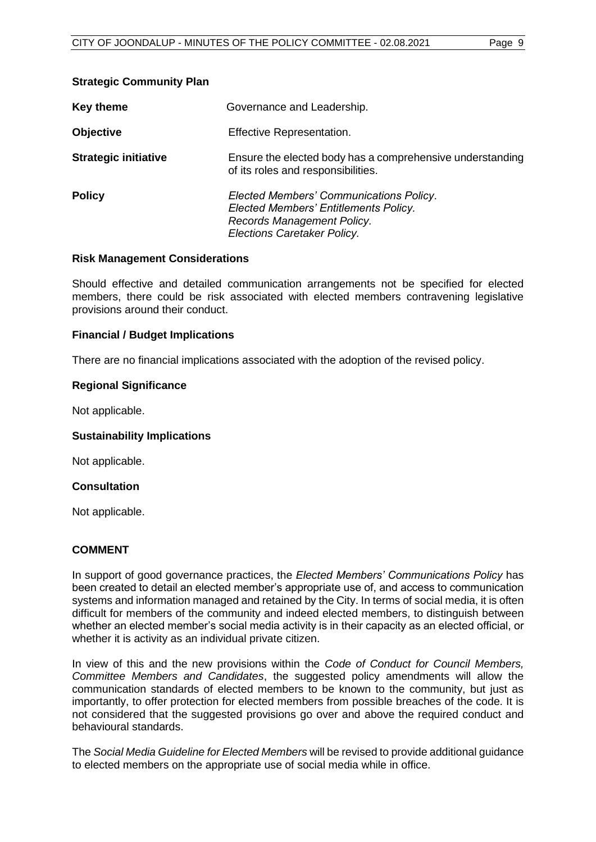#### **Strategic Community Plan**

| <b>Key theme</b>            | Governance and Leadership.                                                                                                                    |
|-----------------------------|-----------------------------------------------------------------------------------------------------------------------------------------------|
| <b>Objective</b>            | Effective Representation.                                                                                                                     |
| <b>Strategic initiative</b> | Ensure the elected body has a comprehensive understanding<br>of its roles and responsibilities.                                               |
| <b>Policy</b>               | Elected Members' Communications Policy.<br>Elected Members' Entitlements Policy.<br>Records Management Policy.<br>Elections Caretaker Policy. |

#### **Risk Management Considerations**

Should effective and detailed communication arrangements not be specified for elected members, there could be risk associated with elected members contravening legislative provisions around their conduct.

#### **Financial / Budget Implications**

There are no financial implications associated with the adoption of the revised policy.

#### **Regional Significance**

Not applicable.

#### **Sustainability Implications**

Not applicable.

#### **Consultation**

Not applicable.

#### **COMMENT**

In support of good governance practices, the *Elected Members' Communications Policy* has been created to detail an elected member's appropriate use of, and access to communication systems and information managed and retained by the City. In terms of social media, it is often difficult for members of the community and indeed elected members, to distinguish between whether an elected member's social media activity is in their capacity as an elected official, or whether it is activity as an individual private citizen.

In view of this and the new provisions within the *Code of Conduct for Council Members, Committee Members and Candidates*, the suggested policy amendments will allow the communication standards of elected members to be known to the community, but just as importantly, to offer protection for elected members from possible breaches of the code. It is not considered that the suggested provisions go over and above the required conduct and behavioural standards.

The *Social Media Guideline for Elected Members* will be revised to provide additional guidance to elected members on the appropriate use of social media while in office.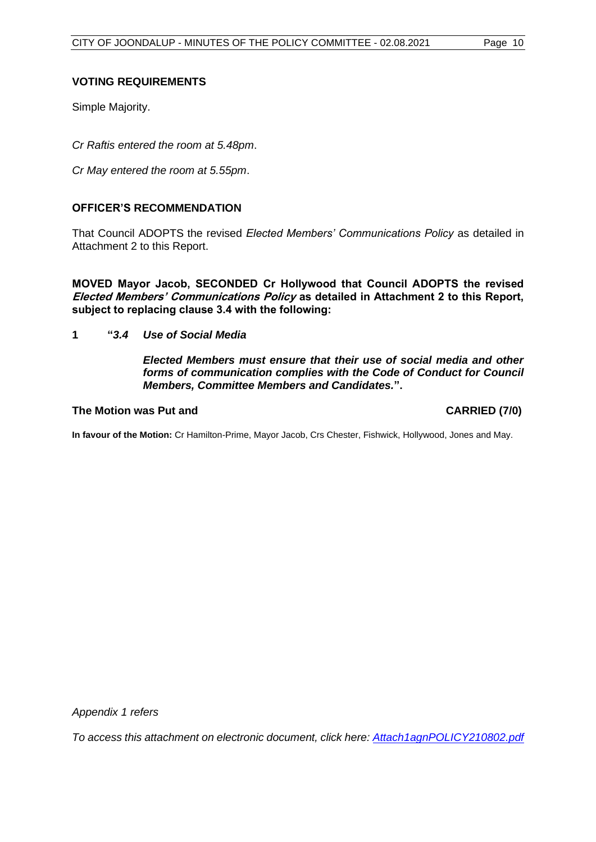#### **VOTING REQUIREMENTS**

Simple Majority.

*Cr Raftis entered the room at 5.48pm*.

*Cr May entered the room at 5.55pm*.

#### **OFFICER'S RECOMMENDATION**

That Council ADOPTS the revised *Elected Members' Communications Policy* as detailed in Attachment 2 to this Report.

**MOVED Mayor Jacob, SECONDED Cr Hollywood that Council ADOPTS the revised Elected Members' Communications Policy as detailed in Attachment 2 to this Report, subject to replacing clause 3.4 with the following:**

**1 "***3.4 Use of Social Media*

*Elected Members must ensure that their use of social media and other forms of communication complies with the Code of Conduct for Council Members, Committee Members and Candidates.***".**

#### **The Motion was Put and CARRIED (7/0)**

**In favour of the Motion:** Cr Hamilton-Prime, Mayor Jacob, Crs Chester, Fishwick, Hollywood, Jones and May.

*Appendix 1 refers*

*[To access this attachment on electronic document, click here: Attach1agnPOLICY210802.pdf](http://www.joondalup.wa.gov.au/files/committees/POLI/2021/Attach1agnPOLICY210802.pdf)*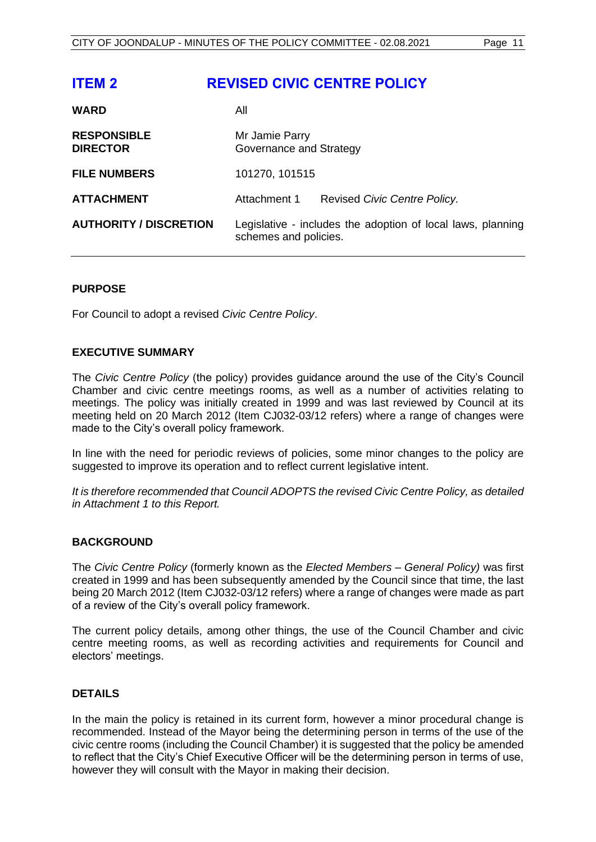<span id="page-10-0"></span>

| <b>ITEM 2</b>                         | <b>REVISED CIVIC CENTRE POLICY</b>                                                   |
|---------------------------------------|--------------------------------------------------------------------------------------|
| <b>WARD</b>                           | All                                                                                  |
| <b>RESPONSIBLE</b><br><b>DIRECTOR</b> | Mr Jamie Parry<br>Governance and Strategy                                            |
| <b>FILE NUMBERS</b>                   | 101270, 101515                                                                       |
| <b>ATTACHMENT</b>                     | Attachment 1<br>Revised Civic Centre Policy.                                         |
| <b>AUTHORITY / DISCRETION</b>         | Legislative - includes the adoption of local laws, planning<br>schemes and policies. |

#### **PURPOSE**

For Council to adopt a revised *Civic Centre Policy*.

#### **EXECUTIVE SUMMARY**

The *Civic Centre Policy* (the policy) provides guidance around the use of the City's Council Chamber and civic centre meetings rooms, as well as a number of activities relating to meetings. The policy was initially created in 1999 and was last reviewed by Council at its meeting held on 20 March 2012 (Item CJ032-03/12 refers) where a range of changes were made to the City's overall policy framework.

In line with the need for periodic reviews of policies, some minor changes to the policy are suggested to improve its operation and to reflect current legislative intent.

*It is therefore recommended that Council ADOPTS the revised Civic Centre Policy, as detailed in Attachment 1 to this Report.* 

#### **BACKGROUND**

The *Civic Centre Policy* (formerly known as the *Elected Members – General Policy)* was first created in 1999 and has been subsequently amended by the Council since that time, the last being 20 March 2012 (Item CJ032-03/12 refers) where a range of changes were made as part of a review of the City's overall policy framework.

The current policy details, among other things, the use of the Council Chamber and civic centre meeting rooms, as well as recording activities and requirements for Council and electors' meetings.

#### **DETAILS**

In the main the policy is retained in its current form, however a minor procedural change is recommended. Instead of the Mayor being the determining person in terms of the use of the civic centre rooms (including the Council Chamber) it is suggested that the policy be amended to reflect that the City's Chief Executive Officer will be the determining person in terms of use, however they will consult with the Mayor in making their decision.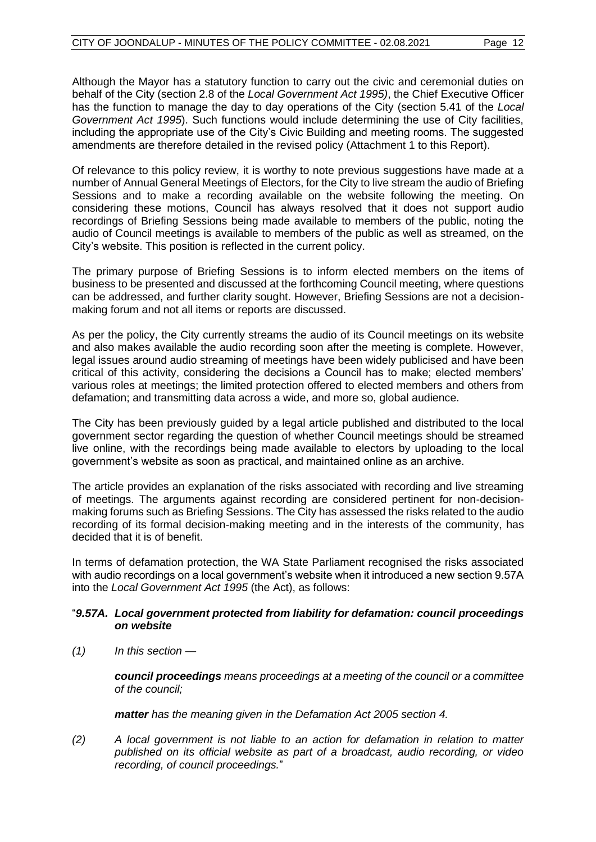Although the Mayor has a statutory function to carry out the civic and ceremonial duties on behalf of the City (section 2.8 of the *Local Government Act 1995)*, the Chief Executive Officer has the function to manage the day to day operations of the City (section 5.41 of the *Local Government Act 1995*). Such functions would include determining the use of City facilities, including the appropriate use of the City's Civic Building and meeting rooms. The suggested amendments are therefore detailed in the revised policy (Attachment 1 to this Report).

Of relevance to this policy review, it is worthy to note previous suggestions have made at a number of Annual General Meetings of Electors, for the City to live stream the audio of Briefing Sessions and to make a recording available on the website following the meeting. On considering these motions, Council has always resolved that it does not support audio recordings of Briefing Sessions being made available to members of the public, noting the audio of Council meetings is available to members of the public as well as streamed, on the City's website. This position is reflected in the current policy.

The primary purpose of Briefing Sessions is to inform elected members on the items of business to be presented and discussed at the forthcoming Council meeting, where questions can be addressed, and further clarity sought. However, Briefing Sessions are not a decisionmaking forum and not all items or reports are discussed.

As per the policy, the City currently streams the audio of its Council meetings on its website and also makes available the audio recording soon after the meeting is complete. However, legal issues around audio streaming of meetings have been widely publicised and have been critical of this activity, considering the decisions a Council has to make; elected members' various roles at meetings; the limited protection offered to elected members and others from defamation; and transmitting data across a wide, and more so, global audience.

The City has been previously guided by a legal article published and distributed to the local government sector regarding the question of whether Council meetings should be streamed live online, with the recordings being made available to electors by uploading to the local government's website as soon as practical, and maintained online as an archive.

The article provides an explanation of the risks associated with recording and live streaming of meetings. The arguments against recording are considered pertinent for non-decisionmaking forums such as Briefing Sessions. The City has assessed the risks related to the audio recording of its formal decision-making meeting and in the interests of the community, has decided that it is of benefit.

In terms of defamation protection, the WA State Parliament recognised the risks associated with audio recordings on a local government's website when it introduced a new section 9.57A into the *Local Government Act 1995* (the Act), as follows:

#### "*9.57A. Local government protected from liability for defamation: council proceedings on website*

*(1) In this section —*

*council proceedings means proceedings at a meeting of the council or a committee of the council;*

*matter has the meaning given in the Defamation Act 2005 section 4.*

*(2) A local government is not liable to an action for defamation in relation to matter published on its official website as part of a broadcast, audio recording, or video recording, of council proceedings.*"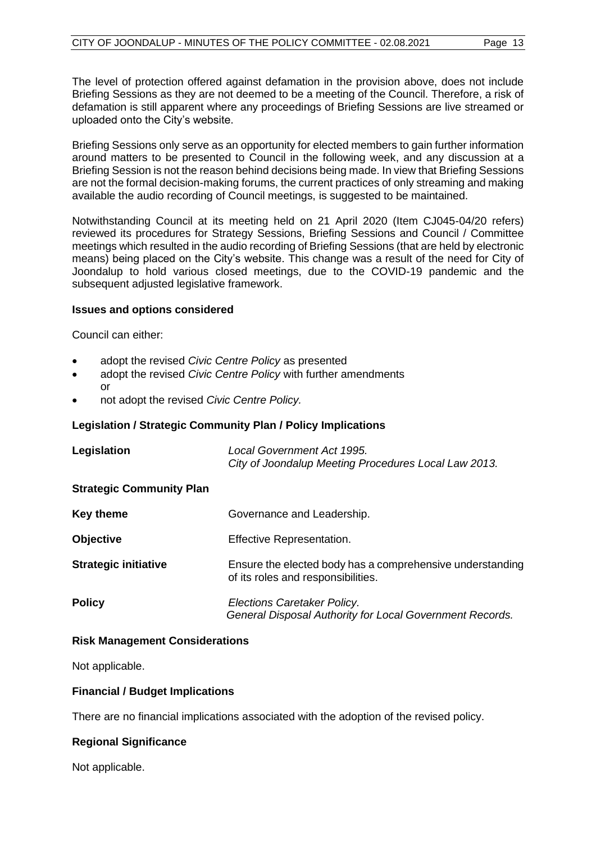The level of protection offered against defamation in the provision above, does not include Briefing Sessions as they are not deemed to be a meeting of the Council. Therefore, a risk of defamation is still apparent where any proceedings of Briefing Sessions are live streamed or uploaded onto the City's website.

Briefing Sessions only serve as an opportunity for elected members to gain further information around matters to be presented to Council in the following week, and any discussion at a Briefing Session is not the reason behind decisions being made. In view that Briefing Sessions are not the formal decision-making forums, the current practices of only streaming and making available the audio recording of Council meetings, is suggested to be maintained.

Notwithstanding Council at its meeting held on 21 April 2020 (Item CJ045-04/20 refers) reviewed its procedures for Strategy Sessions, Briefing Sessions and Council / Committee meetings which resulted in the audio recording of Briefing Sessions (that are held by electronic means) being placed on the City's website. This change was a result of the need for City of Joondalup to hold various closed meetings, due to the COVID-19 pandemic and the subsequent adjusted legislative framework.

#### **Issues and options considered**

Council can either:

- adopt the revised *Civic Centre Policy* as presented
- adopt the revised *Civic Centre Policy* with further amendments or
- not adopt the revised *Civic Centre Policy.*

#### **Legislation / Strategic Community Plan / Policy Implications**

| Legislation                     | <b>Local Government Act 1995.</b><br>City of Joondalup Meeting Procedures Local Law 2013.       |
|---------------------------------|-------------------------------------------------------------------------------------------------|
| <b>Strategic Community Plan</b> |                                                                                                 |
| <b>Key theme</b>                | Governance and Leadership.                                                                      |
| <b>Objective</b>                | <b>Effective Representation.</b>                                                                |
| <b>Strategic initiative</b>     | Ensure the elected body has a comprehensive understanding<br>of its roles and responsibilities. |
| <b>Policy</b>                   | Elections Caretaker Policy.<br>General Disposal Authority for Local Government Records.         |

#### **Risk Management Considerations**

Not applicable.

#### **Financial / Budget Implications**

There are no financial implications associated with the adoption of the revised policy.

## **Regional Significance**

Not applicable.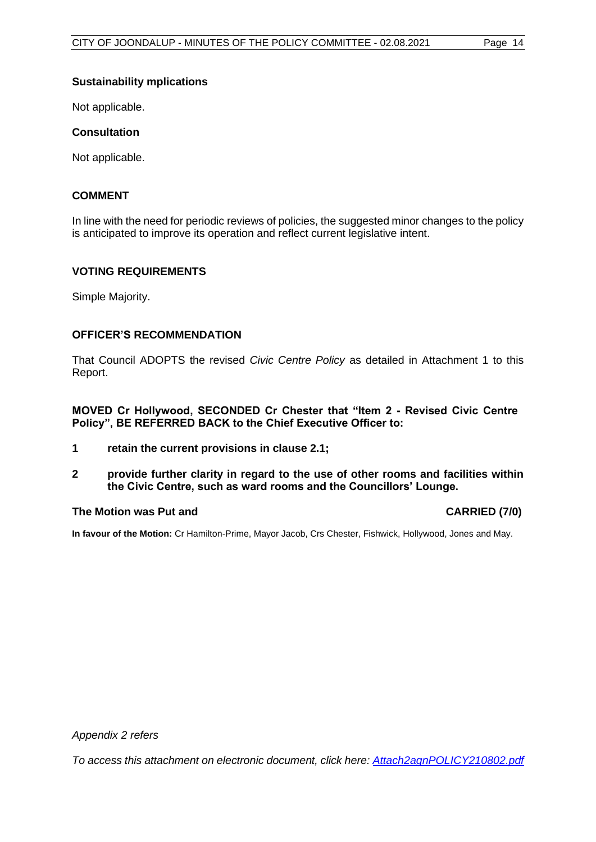#### **Sustainability mplications**

Not applicable.

#### **Consultation**

Not applicable.

#### **COMMENT**

In line with the need for periodic reviews of policies, the suggested minor changes to the policy is anticipated to improve its operation and reflect current legislative intent.

#### **VOTING REQUIREMENTS**

Simple Majority.

#### **OFFICER'S RECOMMENDATION**

That Council ADOPTS the revised *Civic Centre Policy* as detailed in Attachment 1 to this Report.

**MOVED Cr Hollywood, SECONDED Cr Chester that "Item 2 - Revised Civic Centre Policy", BE REFERRED BACK to the Chief Executive Officer to:**

- **1 retain the current provisions in clause 2.1;**
- **2 provide further clarity in regard to the use of other rooms and facilities within the Civic Centre, such as ward rooms and the Councillors' Lounge.**

#### **The Motion was Put and CARRIED (7/0)**

**In favour of the Motion:** Cr Hamilton-Prime, Mayor Jacob, Crs Chester, Fishwick, Hollywood, Jones and May.

*Appendix 2 refers*

*[To access this attachment on electronic document, click here: Attach2agnPOLICY210802.pdf](http://www.joondalup.wa.gov.au/files/committees/POLI/2021/Attach2agnPOLICY210802.pdf)*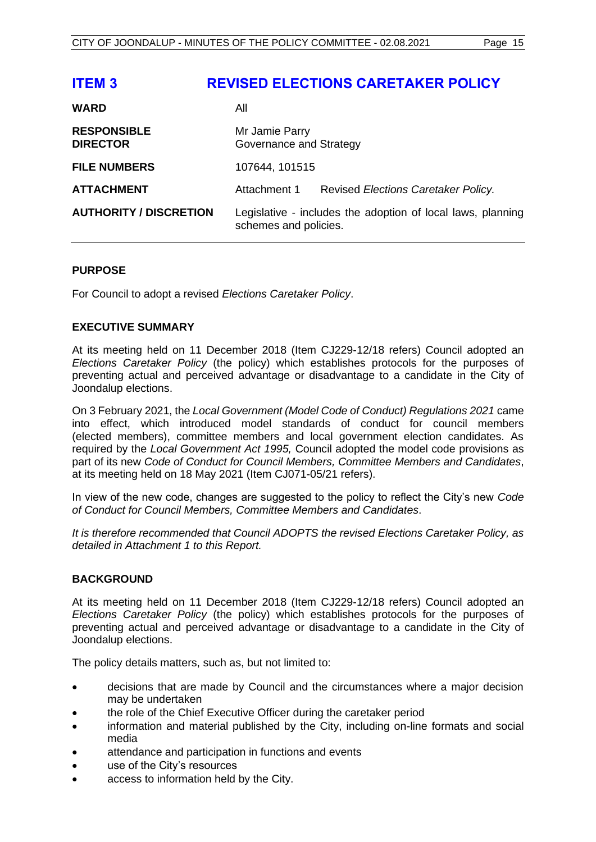<span id="page-14-0"></span>

| <b>ITEM3</b>                          | <b>REVISED ELECTIONS CARETAKER POLICY</b>                                            |
|---------------------------------------|--------------------------------------------------------------------------------------|
| <b>WARD</b>                           | All                                                                                  |
| <b>RESPONSIBLE</b><br><b>DIRECTOR</b> | Mr Jamie Parry<br>Governance and Strategy                                            |
| <b>FILE NUMBERS</b>                   | 107644, 101515                                                                       |
| <b>ATTACHMENT</b>                     | Attachment 1<br>Revised Elections Caretaker Policy.                                  |
| <b>AUTHORITY / DISCRETION</b>         | Legislative - includes the adoption of local laws, planning<br>schemes and policies. |

#### **PURPOSE**

For Council to adopt a revised *Elections Caretaker Policy*.

#### **EXECUTIVE SUMMARY**

At its meeting held on 11 December 2018 (Item CJ229-12/18 refers) Council adopted an *Elections Caretaker Policy* (the policy) which establishes protocols for the purposes of preventing actual and perceived advantage or disadvantage to a candidate in the City of Joondalup elections.

On 3 February 2021, the *Local Government (Model Code of Conduct) Regulations 2021* came into effect, which introduced model standards of conduct for council members (elected members), committee members and local government election candidates. As required by the *Local Government Act 1995,* Council adopted the model code provisions as part of its new *Code of Conduct for Council Members, Committee Members and Candidates*, at its meeting held on 18 May 2021 (Item CJ071-05/21 refers).

In view of the new code, changes are suggested to the policy to reflect the City's new *Code of Conduct for Council Members, Committee Members and Candidates*.

*It is therefore recommended that Council ADOPTS the revised Elections Caretaker Policy, as detailed in Attachment 1 to this Report.* 

#### **BACKGROUND**

At its meeting held on 11 December 2018 (Item CJ229-12/18 refers) Council adopted an *Elections Caretaker Policy* (the policy) which establishes protocols for the purposes of preventing actual and perceived advantage or disadvantage to a candidate in the City of Joondalup elections.

The policy details matters, such as, but not limited to:

- decisions that are made by Council and the circumstances where a major decision may be undertaken
- the role of the Chief Executive Officer during the caretaker period
- information and material published by the City, including on-line formats and social media
- attendance and participation in functions and events
- use of the City's resources
- access to information held by the City.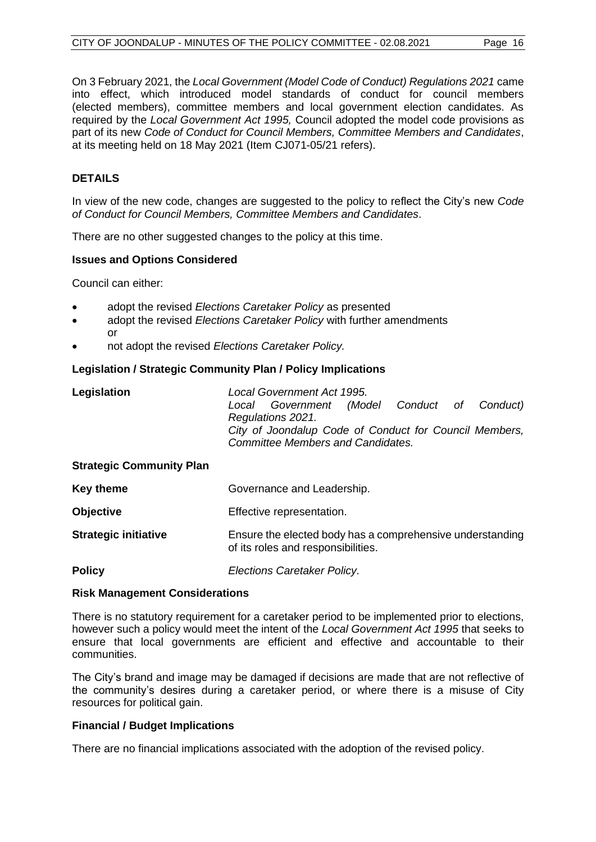On 3 February 2021, the *Local Government (Model Code of Conduct) Regulations 2021* came into effect, which introduced model standards of conduct for council members (elected members), committee members and local government election candidates. As required by the *Local Government Act 1995,* Council adopted the model code provisions as part of its new *Code of Conduct for Council Members, Committee Members and Candidates*, at its meeting held on 18 May 2021 (Item CJ071-05/21 refers).

#### **DETAILS**

In view of the new code, changes are suggested to the policy to reflect the City's new *Code of Conduct for Council Members, Committee Members and Candidates*.

There are no other suggested changes to the policy at this time.

#### **Issues and Options Considered**

Council can either:

- adopt the revised *Elections Caretaker Policy* as presented
- adopt the revised *Elections Caretaker Policy* with further amendments or
- not adopt the revised *Elections Caretaker Policy.*

#### **Legislation / Strategic Community Plan / Policy Implications**

| Legislation                     | Local Government Act 1995.<br>Local Government (Model Conduct of<br>Conduct)<br>Regulations 2021.<br>City of Joondalup Code of Conduct for Council Members,<br><b>Committee Members and Candidates.</b> |  |
|---------------------------------|---------------------------------------------------------------------------------------------------------------------------------------------------------------------------------------------------------|--|
| <b>Strategic Community Plan</b> |                                                                                                                                                                                                         |  |
| <b>Key theme</b>                | Governance and Leadership.                                                                                                                                                                              |  |
| <b>Objective</b>                | Effective representation.                                                                                                                                                                               |  |
| <b>Strategic initiative</b>     | Ensure the elected body has a comprehensive understanding<br>of its roles and responsibilities.                                                                                                         |  |
| <b>Policy</b>                   | Elections Caretaker Policy.                                                                                                                                                                             |  |

#### **Risk Management Considerations**

There is no statutory requirement for a caretaker period to be implemented prior to elections, however such a policy would meet the intent of the *Local Government Act 1995* that seeks to ensure that local governments are efficient and effective and accountable to their communities.

The City's brand and image may be damaged if decisions are made that are not reflective of the community's desires during a caretaker period, or where there is a misuse of City resources for political gain.

#### **Financial / Budget Implications**

There are no financial implications associated with the adoption of the revised policy.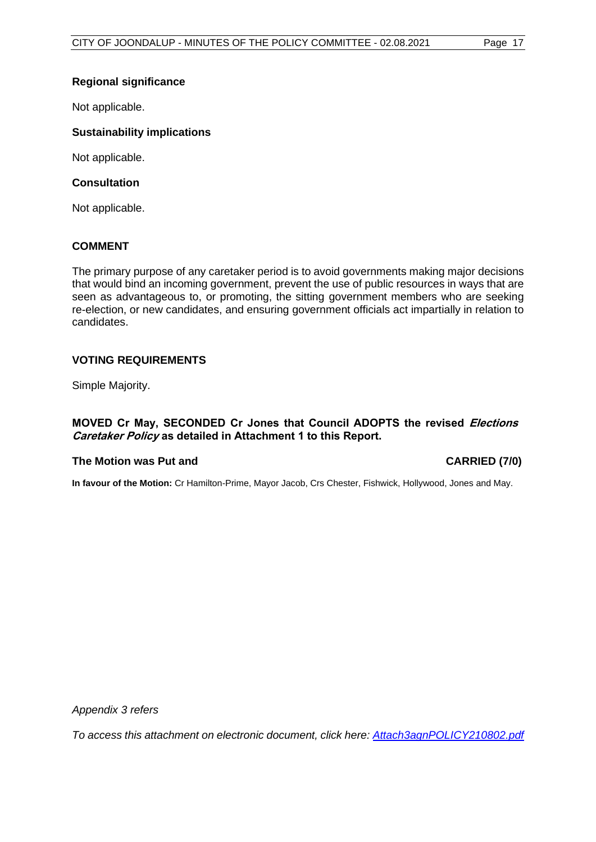#### **Regional significance**

Not applicable.

#### **Sustainability implications**

Not applicable.

#### **Consultation**

Not applicable.

#### **COMMENT**

The primary purpose of any caretaker period is to avoid governments making major decisions that would bind an incoming government, prevent the use of public resources in ways that are seen as advantageous to, or promoting, the sitting government members who are seeking re-election, or new candidates, and ensuring government officials act impartially in relation to candidates.

#### **VOTING REQUIREMENTS**

Simple Majority.

#### **MOVED Cr May, SECONDED Cr Jones that Council ADOPTS the revised Elections Caretaker Policy as detailed in Attachment 1 to this Report.**

#### **The Motion was Put and CARRIED (7/0)**

**In favour of the Motion:** Cr Hamilton-Prime, Mayor Jacob, Crs Chester, Fishwick, Hollywood, Jones and May.

*Appendix 3 refers*

*[To access this attachment on electronic document, click here:](http://www.joondalup.wa.gov.au/files/committees/POLI/2021/Attach3agnPOLICY210802.pdf) Attach3agnPOLICY210802.pdf*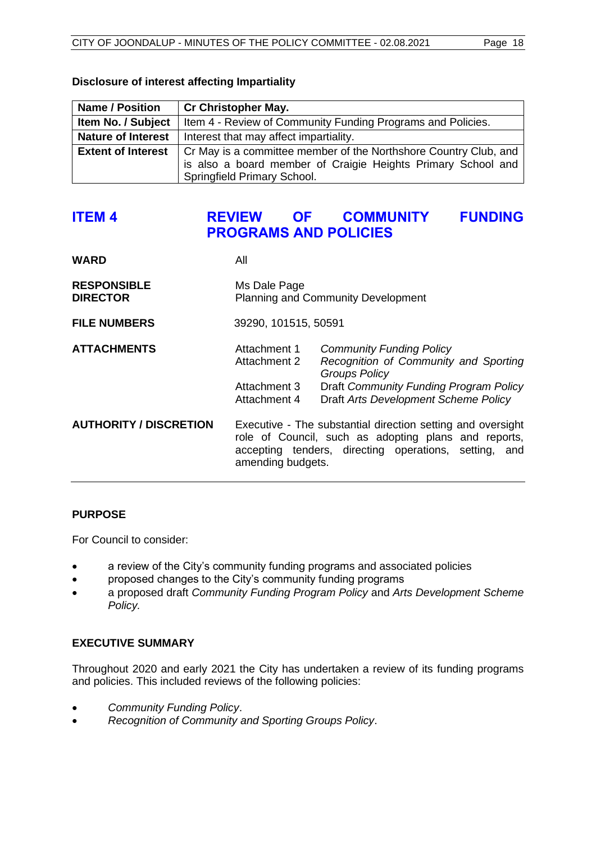| <b>Name / Position</b>    | <b>Cr Christopher May.</b>                                                                                                                                      |
|---------------------------|-----------------------------------------------------------------------------------------------------------------------------------------------------------------|
| Item No. / Subject        | Item 4 - Review of Community Funding Programs and Policies.                                                                                                     |
| <b>Nature of Interest</b> | Interest that may affect impartiality.                                                                                                                          |
| <b>Extent of Interest</b> | Cr May is a committee member of the Northshore Country Club, and<br>is also a board member of Craigie Heights Primary School and<br>Springfield Primary School. |

#### <span id="page-17-0"></span>**Disclosure of interest affecting Impartiality**

# **ITEM 4 REVIEW OF COMMUNITY FUNDING PROGRAMS AND POLICIES**

| All                                                                                                                                                                                               |                                                                                                                                                                                    |  |
|---------------------------------------------------------------------------------------------------------------------------------------------------------------------------------------------------|------------------------------------------------------------------------------------------------------------------------------------------------------------------------------------|--|
| Ms Dale Page<br><b>Planning and Community Development</b>                                                                                                                                         |                                                                                                                                                                                    |  |
| 39290, 101515, 50591                                                                                                                                                                              |                                                                                                                                                                                    |  |
| Attachment 1<br>Attachment 2<br>Attachment 3<br>Attachment 4                                                                                                                                      | <b>Community Funding Policy</b><br>Recognition of Community and Sporting<br><b>Groups Policy</b><br>Draft Community Funding Program Policy<br>Draft Arts Development Scheme Policy |  |
| Executive - The substantial direction setting and oversight<br>role of Council, such as adopting plans and reports,<br>accepting tenders, directing operations, setting, and<br>amending budgets. |                                                                                                                                                                                    |  |
|                                                                                                                                                                                                   |                                                                                                                                                                                    |  |

## **PURPOSE**

For Council to consider:

- a review of the City's community funding programs and associated policies
- proposed changes to the City's community funding programs
- a proposed draft *Community Funding Program Policy* and *Arts Development Scheme Policy.*

#### **EXECUTIVE SUMMARY**

Throughout 2020 and early 2021 the City has undertaken a review of its funding programs and policies. This included reviews of the following policies:

- *Community Funding Policy*.
- *Recognition of Community and Sporting Groups Policy*.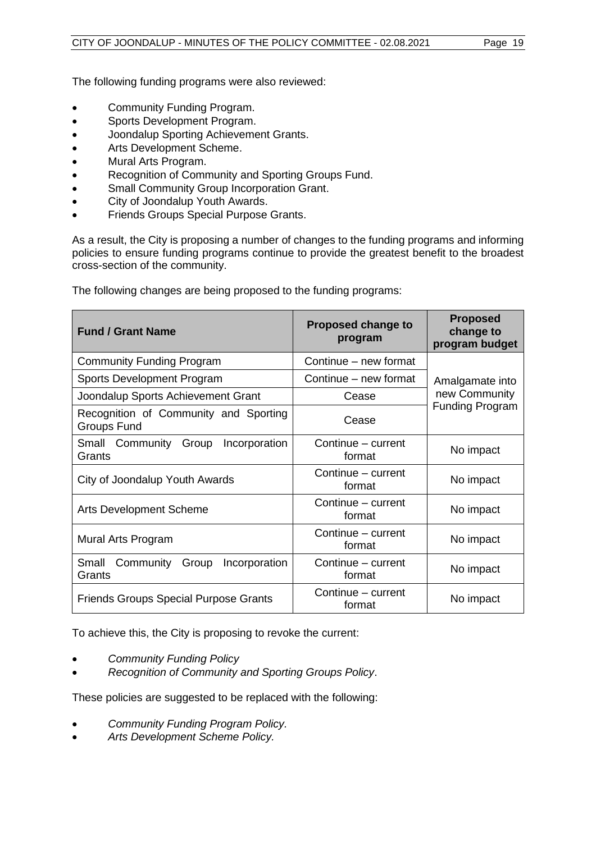The following funding programs were also reviewed:

- Community Funding Program.
- Sports Development Program.
- Joondalup Sporting Achievement Grants.
- Arts Development Scheme.
- Mural Arts Program.
- Recognition of Community and Sporting Groups Fund.
- Small Community Group Incorporation Grant.
- City of Joondalup Youth Awards.
- Friends Groups Special Purpose Grants.

As a result, the City is proposing a number of changes to the funding programs and informing policies to ensure funding programs continue to provide the greatest benefit to the broadest cross-section of the community.

The following changes are being proposed to the funding programs:

| <b>Fund / Grant Name</b>                             | <b>Proposed change to</b><br>program | <b>Proposed</b><br>change to<br>program budget |  |
|------------------------------------------------------|--------------------------------------|------------------------------------------------|--|
| <b>Community Funding Program</b>                     | Continue – new format                |                                                |  |
| Sports Development Program                           | Continue - new format                | Amalgamate into                                |  |
| Joondalup Sports Achievement Grant                   | Cease                                | new Community                                  |  |
| Recognition of Community and Sporting<br>Groups Fund | Cease                                | <b>Funding Program</b>                         |  |
| Small Community<br>Group<br>Incorporation<br>Grants  | Continue - current<br>format         | No impact                                      |  |
| City of Joondalup Youth Awards                       | Continue – current<br>format         | No impact                                      |  |
| <b>Arts Development Scheme</b>                       | Continue – current<br>format         | No impact                                      |  |
| Mural Arts Program                                   | Continue – current<br>format         | No impact                                      |  |
| Small Community<br>Group Incorporation<br>Grants     | Continue - current<br>format         | No impact                                      |  |
| <b>Friends Groups Special Purpose Grants</b>         | Continue - current<br>format         | No impact                                      |  |

To achieve this, the City is proposing to revoke the current:

- *Community Funding Policy*
- *Recognition of Community and Sporting Groups Policy*.

These policies are suggested to be replaced with the following:

- *Community Funding Program Policy.*
- *Arts Development Scheme Policy.*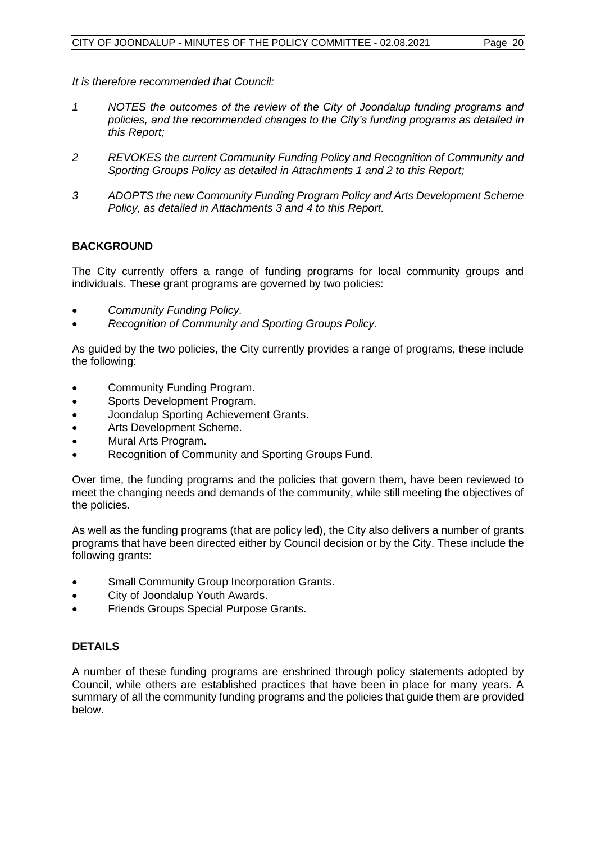*It is therefore recommended that Council:*

- *1 NOTES the outcomes of the review of the City of Joondalup funding programs and policies, and the recommended changes to the City's funding programs as detailed in this Report;*
- *2 REVOKES the current Community Funding Policy and Recognition of Community and Sporting Groups Policy as detailed in Attachments 1 and 2 to this Report;*
- *3 ADOPTS the new Community Funding Program Policy and Arts Development Scheme Policy, as detailed in Attachments 3 and 4 to this Report.*

#### **BACKGROUND**

The City currently offers a range of funding programs for local community groups and individuals. These grant programs are governed by two policies:

- *Community Funding Policy.*
- *Recognition of Community and Sporting Groups Policy*.

As guided by the two policies, the City currently provides a range of programs, these include the following:

- Community Funding Program.
- Sports Development Program.
- Joondalup Sporting Achievement Grants.
- Arts Development Scheme.
- Mural Arts Program.
- Recognition of Community and Sporting Groups Fund.

Over time, the funding programs and the policies that govern them, have been reviewed to meet the changing needs and demands of the community, while still meeting the objectives of the policies.

As well as the funding programs (that are policy led), the City also delivers a number of grants programs that have been directed either by Council decision or by the City. These include the following grants:

- Small Community Group Incorporation Grants.
- City of Joondalup Youth Awards.
- Friends Groups Special Purpose Grants.

#### **DETAILS**

A number of these funding programs are enshrined through policy statements adopted by Council, while others are established practices that have been in place for many years. A summary of all the community funding programs and the policies that guide them are provided below.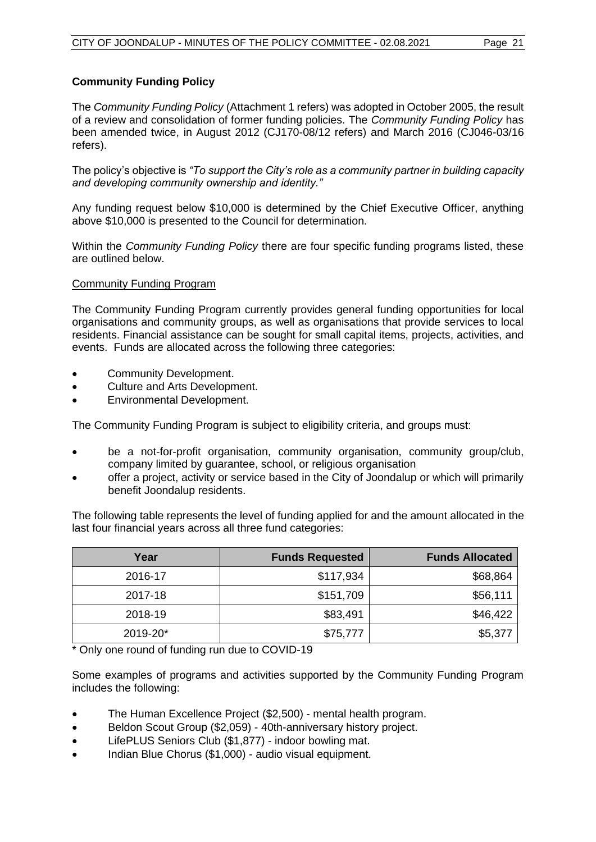#### **Community Funding Policy**

The *Community Funding Policy* (Attachment 1 refers) was adopted in October 2005, the result of a review and consolidation of former funding policies. The *Community Funding Policy* has been amended twice, in August 2012 (CJ170-08/12 refers) and March 2016 (CJ046-03/16 refers).

The policy's objective is *"To support the City's role as a community partner in building capacity and developing community ownership and identity."* 

Any funding request below \$10,000 is determined by the Chief Executive Officer, anything above \$10,000 is presented to the Council for determination.

Within the *Community Funding Policy* there are four specific funding programs listed, these are outlined below.

#### Community Funding Program

The Community Funding Program currently provides general funding opportunities for local organisations and community groups, as well as organisations that provide services to local residents. Financial assistance can be sought for small capital items, projects, activities, and events. Funds are allocated across the following three categories:

- Community Development.
- Culture and Arts Development.
- Environmental Development.

The Community Funding Program is subject to eligibility criteria, and groups must:

- be a not-for-profit organisation, community organisation, community group/club, company limited by guarantee, school, or religious organisation
- offer a project, activity or service based in the City of Joondalup or which will primarily benefit Joondalup residents.

The following table represents the level of funding applied for and the amount allocated in the last four financial years across all three fund categories:

| Year     | <b>Funds Requested</b> | <b>Funds Allocated</b> |
|----------|------------------------|------------------------|
| 2016-17  | \$117,934              | \$68,864               |
| 2017-18  | \$151,709              | \$56,111               |
| 2018-19  | \$83,491               | \$46,422               |
| 2019-20* | \$75,777               | \$5,377                |

\* Only one round of funding run due to COVID-19

Some examples of programs and activities supported by the Community Funding Program includes the following:

- The Human Excellence Project (\$2,500) mental health program.
- Beldon Scout Group (\$2,059) 40th-anniversary history project.
- LifePLUS Seniors Club (\$1,877) indoor bowling mat.
- Indian Blue Chorus (\$1,000) audio visual equipment.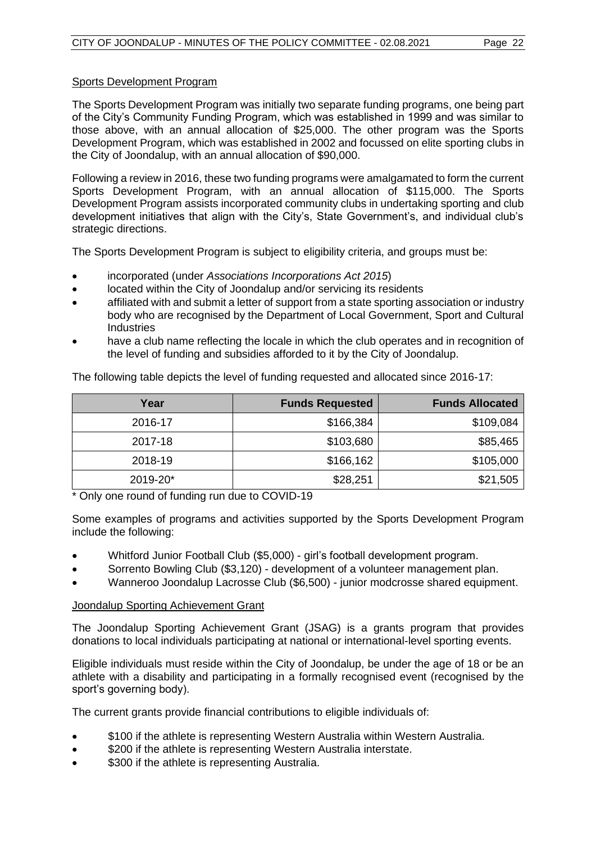#### Sports Development Program

The Sports Development Program was initially two separate funding programs, one being part of the City's Community Funding Program, which was established in 1999 and was similar to those above, with an annual allocation of \$25,000. The other program was the Sports Development Program, which was established in 2002 and focussed on elite sporting clubs in the City of Joondalup, with an annual allocation of \$90,000.

Following a review in 2016, these two funding programs were amalgamated to form the current Sports Development Program, with an annual allocation of \$115,000. The Sports Development Program assists incorporated community clubs in undertaking sporting and club development initiatives that align with the City's, State Government's, and individual club's strategic directions.

The Sports Development Program is subject to eligibility criteria, and groups must be:

- incorporated (under *Associations Incorporations Act 2015*)
- located within the City of Joondalup and/or servicing its residents
- affiliated with and submit a letter of support from a state sporting association or industry body who are recognised by the Department of Local Government, Sport and Cultural Industries
- have a club name reflecting the locale in which the club operates and in recognition of the level of funding and subsidies afforded to it by the City of Joondalup.

|  |  | The following table depicts the level of funding requested and allocated since 2016-17: |
|--|--|-----------------------------------------------------------------------------------------|
|--|--|-----------------------------------------------------------------------------------------|

| Year     | <b>Funds Requested</b> | <b>Funds Allocated</b> |
|----------|------------------------|------------------------|
| 2016-17  | \$166,384              | \$109,084              |
| 2017-18  | \$103,680              | \$85,465               |
| 2018-19  | \$166,162              | \$105,000              |
| 2019-20* | \$28,251               | \$21,505               |

\* Only one round of funding run due to COVID-19

Some examples of programs and activities supported by the Sports Development Program include the following:

- Whitford Junior Football Club (\$5,000) girl's football development program.
- Sorrento Bowling Club (\$3,120) development of a volunteer management plan.
- Wanneroo Joondalup Lacrosse Club (\$6,500) junior modcrosse shared equipment.

#### Joondalup Sporting Achievement Grant

The Joondalup Sporting Achievement Grant (JSAG) is a grants program that provides donations to local individuals participating at national or international-level sporting events.

Eligible individuals must reside within the City of Joondalup, be under the age of 18 or be an athlete with a disability and participating in a formally recognised event (recognised by the sport's governing body).

The current grants provide financial contributions to eligible individuals of:

- \$100 if the athlete is representing Western Australia within Western Australia.
- \$200 if the athlete is representing Western Australia interstate.
- \$300 if the athlete is representing Australia.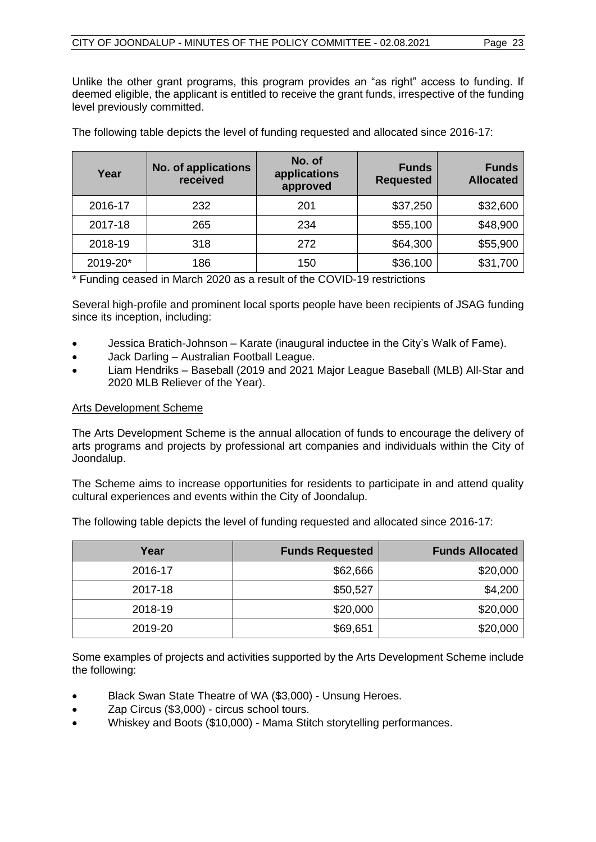Unlike the other grant programs, this program provides an "as right" access to funding. If deemed eligible, the applicant is entitled to receive the grant funds, irrespective of the funding level previously committed.

| Year     | No. of applications<br>received | No. of<br>applications<br>approved | <b>Funds</b><br><b>Requested</b> | <b>Funds</b><br><b>Allocated</b> |
|----------|---------------------------------|------------------------------------|----------------------------------|----------------------------------|
| 2016-17  | 232                             | 201                                | \$37,250                         | \$32,600                         |
| 2017-18  | 265                             | 234                                | \$55,100                         | \$48,900                         |
| 2018-19  | 318                             | 272                                | \$64,300                         | \$55,900                         |
| 2019-20* | 186                             | 150                                | \$36,100                         | \$31,700                         |

The following table depicts the level of funding requested and allocated since 2016-17:

\* Funding ceased in March 2020 as a result of the COVID-19 restrictions

Several high-profile and prominent local sports people have been recipients of JSAG funding since its inception, including:

- Jessica Bratich-Johnson Karate (inaugural inductee in the City's Walk of Fame).
- Jack Darling Australian Football League.
- Liam Hendriks Baseball (2019 and 2021 Major League Baseball (MLB) All-Star and 2020 MLB Reliever of the Year).

#### Arts Development Scheme

The Arts Development Scheme is the annual allocation of funds to encourage the delivery of arts programs and projects by professional art companies and individuals within the City of Joondalup.

The Scheme aims to increase opportunities for residents to participate in and attend quality cultural experiences and events within the City of Joondalup.

The following table depicts the level of funding requested and allocated since 2016-17:

| Year    | <b>Funds Requested</b> | <b>Funds Allocated</b> |
|---------|------------------------|------------------------|
| 2016-17 | \$62,666               | \$20,000               |
| 2017-18 | \$50,527               | \$4,200                |
| 2018-19 | \$20,000               | \$20,000               |
| 2019-20 | \$69,651               | \$20,000               |

Some examples of projects and activities supported by the Arts Development Scheme include the following:

- Black Swan State Theatre of WA (\$3,000) Unsung Heroes.
- Zap Circus (\$3,000) circus school tours.
- Whiskey and Boots (\$10,000) Mama Stitch storytelling performances.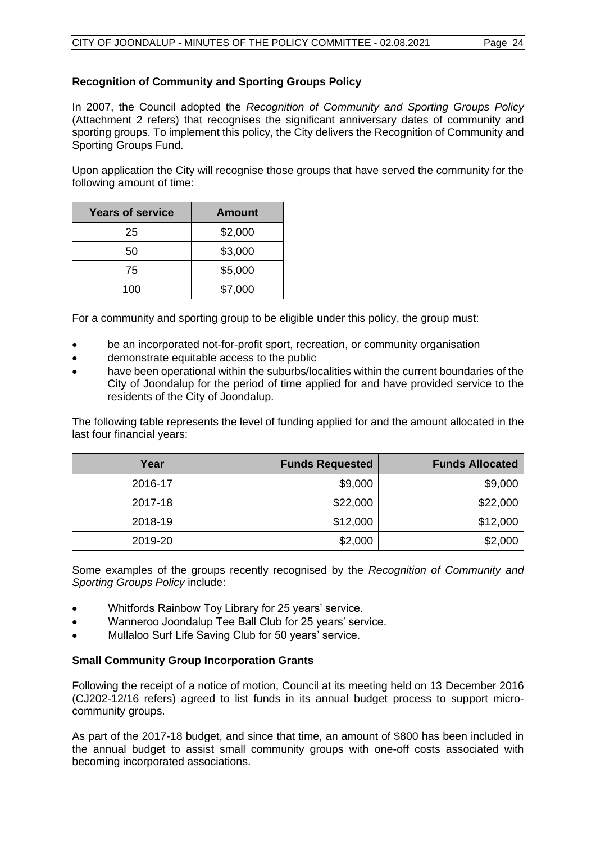#### **Recognition of Community and Sporting Groups Policy**

In 2007, the Council adopted the *Recognition of Community and Sporting Groups Policy* (Attachment 2 refers) that recognises the significant anniversary dates of community and sporting groups. To implement this policy, the City delivers the Recognition of Community and Sporting Groups Fund.

Upon application the City will recognise those groups that have served the community for the following amount of time:

| <b>Years of service</b> | Amount  |
|-------------------------|---------|
| 25                      | \$2,000 |
| 50                      | \$3,000 |
| 75                      | \$5,000 |
| 100                     | \$7,000 |

For a community and sporting group to be eligible under this policy, the group must:

- be an incorporated not-for-profit sport, recreation, or community organisation
- demonstrate equitable access to the public
- have been operational within the suburbs/localities within the current boundaries of the City of Joondalup for the period of time applied for and have provided service to the residents of the City of Joondalup.

The following table represents the level of funding applied for and the amount allocated in the last four financial years:

| Year    | <b>Funds Requested</b> | <b>Funds Allocated</b> |
|---------|------------------------|------------------------|
| 2016-17 | \$9,000                | \$9,000                |
| 2017-18 | \$22,000               | \$22,000               |
| 2018-19 | \$12,000               | \$12,000               |
| 2019-20 | \$2,000                | \$2,000                |

Some examples of the groups recently recognised by the *Recognition of Community and Sporting Groups Policy* include:

- Whitfords Rainbow Toy Library for 25 years' service.
- Wanneroo Joondalup Tee Ball Club for 25 years' service.
- Mullaloo Surf Life Saving Club for 50 years' service.

#### **Small Community Group Incorporation Grants**

Following the receipt of a notice of motion, Council at its meeting held on 13 December 2016 (CJ202-12/16 refers) agreed to list funds in its annual budget process to support microcommunity groups.

As part of the 2017-18 budget, and since that time, an amount of \$800 has been included in the annual budget to assist small community groups with one-off costs associated with becoming incorporated associations.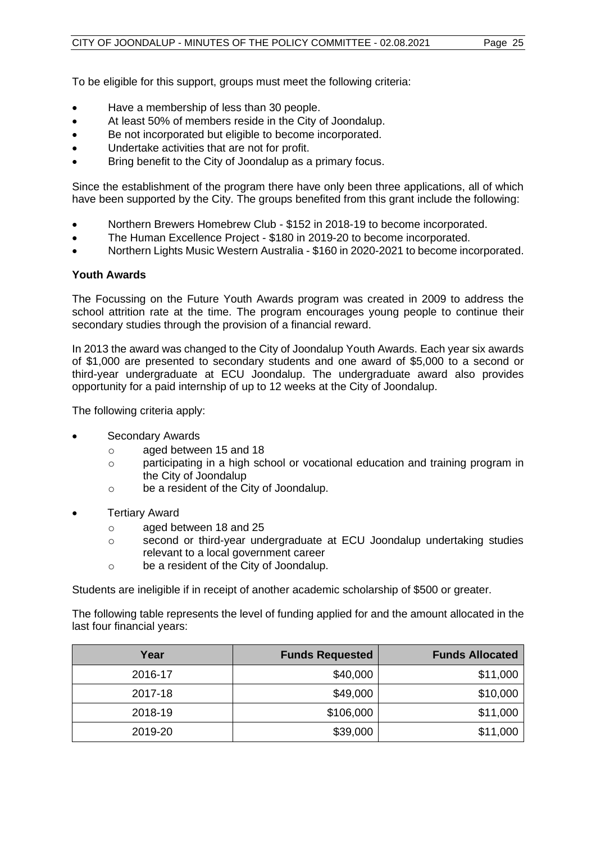To be eligible for this support, groups must meet the following criteria:

- Have a membership of less than 30 people.
- At least 50% of members reside in the City of Joondalup.
- Be not incorporated but eligible to become incorporated.
- Undertake activities that are not for profit.
- Bring benefit to the City of Joondalup as a primary focus.

Since the establishment of the program there have only been three applications, all of which have been supported by the City. The groups benefited from this grant include the following:

- Northern Brewers Homebrew Club \$152 in 2018-19 to become incorporated.
- The Human Excellence Project \$180 in 2019-20 to become incorporated.
- Northern Lights Music Western Australia \$160 in 2020-2021 to become incorporated.

#### **Youth Awards**

The Focussing on the Future Youth Awards program was created in 2009 to address the school attrition rate at the time. The program encourages young people to continue their secondary studies through the provision of a financial reward.

In 2013 the award was changed to the City of Joondalup Youth Awards. Each year six awards of \$1,000 are presented to secondary students and one award of \$5,000 to a second or third-year undergraduate at ECU Joondalup. The undergraduate award also provides opportunity for a paid internship of up to 12 weeks at the City of Joondalup.

The following criteria apply:

- Secondary Awards
	- o aged between 15 and 18
	- o participating in a high school or vocational education and training program in the City of Joondalup
	- o be a resident of the City of Joondalup.
- **Tertiary Award** 
	- o aged between 18 and 25
	- o second or third-year undergraduate at ECU Joondalup undertaking studies relevant to a local government career
	- o be a resident of the City of Joondalup.

Students are ineligible if in receipt of another academic scholarship of \$500 or greater.

The following table represents the level of funding applied for and the amount allocated in the last four financial years:

| Year    | <b>Funds Requested</b> | <b>Funds Allocated</b> |
|---------|------------------------|------------------------|
| 2016-17 | \$40,000               | \$11,000               |
| 2017-18 | \$49,000               | \$10,000               |
| 2018-19 | \$106,000              | \$11,000               |
| 2019-20 | \$39,000               | \$11,000               |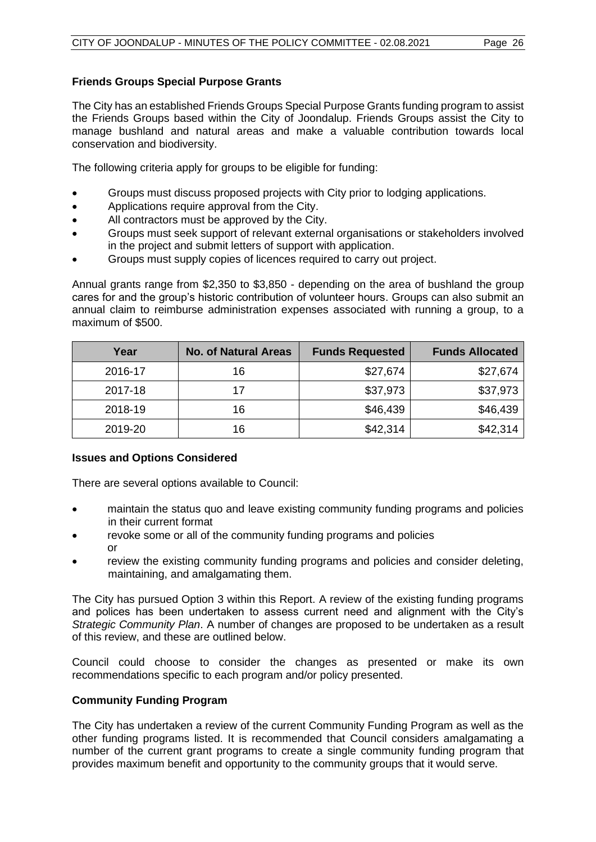#### **Friends Groups Special Purpose Grants**

The City has an established Friends Groups Special Purpose Grants funding program to assist the Friends Groups based within the City of Joondalup. Friends Groups assist the City to manage bushland and natural areas and make a valuable contribution towards local conservation and biodiversity.

The following criteria apply for groups to be eligible for funding:

- Groups must discuss proposed projects with City prior to lodging applications.
- Applications require approval from the City.
- All contractors must be approved by the City.
- Groups must seek support of relevant external organisations or stakeholders involved in the project and submit letters of support with application.
- Groups must supply copies of licences required to carry out project.

Annual grants range from \$2,350 to \$3,850 - depending on the area of bushland the group cares for and the group's historic contribution of volunteer hours. Groups can also submit an annual claim to reimburse administration expenses associated with running a group, to a maximum of \$500.

| Year    | <b>No. of Natural Areas</b> | <b>Funds Requested</b> | <b>Funds Allocated</b> |
|---------|-----------------------------|------------------------|------------------------|
| 2016-17 | 16                          | \$27,674               | \$27,674               |
| 2017-18 | 17                          | \$37,973               | \$37,973               |
| 2018-19 | 16                          | \$46,439               | \$46,439               |
| 2019-20 | 16                          | \$42,314               | \$42,314               |

#### **Issues and Options Considered**

There are several options available to Council:

- maintain the status quo and leave existing community funding programs and policies in their current format
- revoke some or all of the community funding programs and policies or
- review the existing community funding programs and policies and consider deleting, maintaining, and amalgamating them.

The City has pursued Option 3 within this Report. A review of the existing funding programs and polices has been undertaken to assess current need and alignment with the City's *Strategic Community Plan*. A number of changes are proposed to be undertaken as a result of this review, and these are outlined below.

Council could choose to consider the changes as presented or make its own recommendations specific to each program and/or policy presented.

#### **Community Funding Program**

The City has undertaken a review of the current Community Funding Program as well as the other funding programs listed. It is recommended that Council considers amalgamating a number of the current grant programs to create a single community funding program that provides maximum benefit and opportunity to the community groups that it would serve.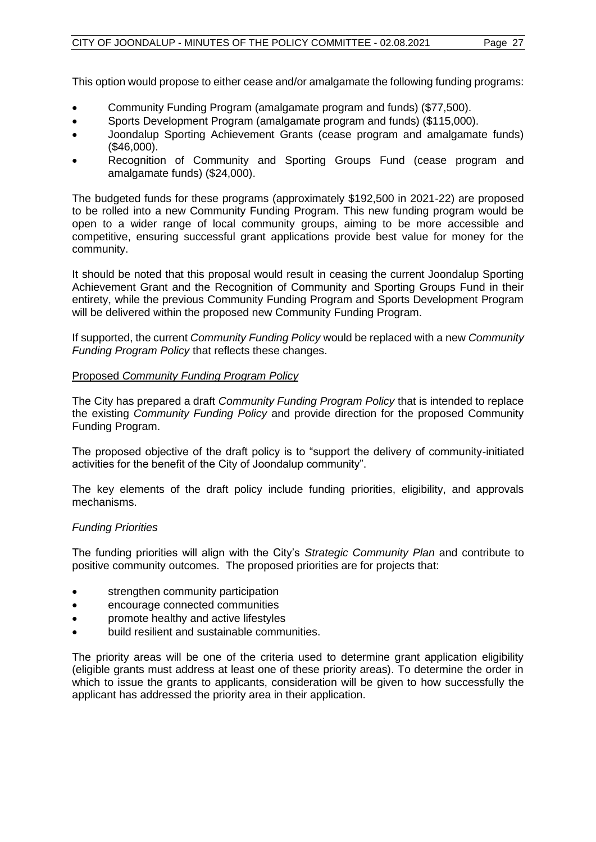This option would propose to either cease and/or amalgamate the following funding programs:

- Community Funding Program (amalgamate program and funds) (\$77,500).
- Sports Development Program (amalgamate program and funds) (\$115,000).
- Joondalup Sporting Achievement Grants (cease program and amalgamate funds) (\$46,000).
- Recognition of Community and Sporting Groups Fund (cease program and amalgamate funds) (\$24,000).

The budgeted funds for these programs (approximately \$192,500 in 2021-22) are proposed to be rolled into a new Community Funding Program. This new funding program would be open to a wider range of local community groups, aiming to be more accessible and competitive, ensuring successful grant applications provide best value for money for the community.

It should be noted that this proposal would result in ceasing the current Joondalup Sporting Achievement Grant and the Recognition of Community and Sporting Groups Fund in their entirety, while the previous Community Funding Program and Sports Development Program will be delivered within the proposed new Community Funding Program.

If supported, the current *Community Funding Policy* would be replaced with a new *Community Funding Program Policy* that reflects these changes.

#### Proposed *Community Funding Program Policy*

The City has prepared a draft *Community Funding Program Policy* that is intended to replace the existing *Community Funding Policy* and provide direction for the proposed Community Funding Program.

The proposed objective of the draft policy is to "support the delivery of community-initiated activities for the benefit of the City of Joondalup community".

The key elements of the draft policy include funding priorities, eligibility, and approvals mechanisms.

#### *Funding Priorities*

The funding priorities will align with the City's *Strategic Community Plan* and contribute to positive community outcomes. The proposed priorities are for projects that:

- strengthen community participation
- encourage connected communities
- promote healthy and active lifestyles
- build resilient and sustainable communities.

The priority areas will be one of the criteria used to determine grant application eligibility (eligible grants must address at least one of these priority areas). To determine the order in which to issue the grants to applicants, consideration will be given to how successfully the applicant has addressed the priority area in their application.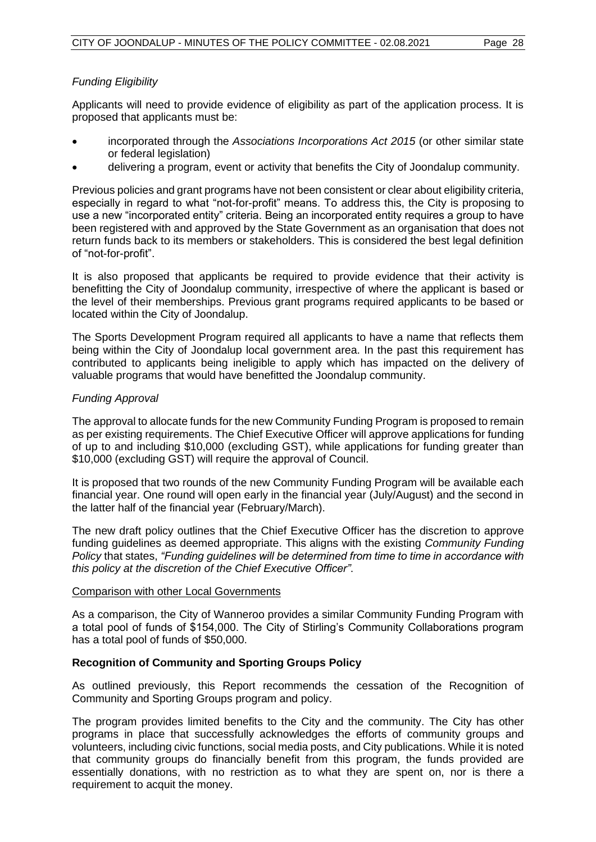#### *Funding Eligibility*

Applicants will need to provide evidence of eligibility as part of the application process. It is proposed that applicants must be:

- incorporated through the *Associations Incorporations Act 2015* (or other similar state or federal legislation)
- delivering a program, event or activity that benefits the City of Joondalup community.

Previous policies and grant programs have not been consistent or clear about eligibility criteria, especially in regard to what "not-for-profit" means. To address this, the City is proposing to use a new "incorporated entity" criteria. Being an incorporated entity requires a group to have been registered with and approved by the State Government as an organisation that does not return funds back to its members or stakeholders. This is considered the best legal definition of "not-for-profit".

It is also proposed that applicants be required to provide evidence that their activity is benefitting the City of Joondalup community, irrespective of where the applicant is based or the level of their memberships. Previous grant programs required applicants to be based or located within the City of Joondalup.

The Sports Development Program required all applicants to have a name that reflects them being within the City of Joondalup local government area. In the past this requirement has contributed to applicants being ineligible to apply which has impacted on the delivery of valuable programs that would have benefitted the Joondalup community.

#### *Funding Approval*

The approval to allocate funds for the new Community Funding Program is proposed to remain as per existing requirements. The Chief Executive Officer will approve applications for funding of up to and including \$10,000 (excluding GST), while applications for funding greater than \$10,000 (excluding GST) will require the approval of Council.

It is proposed that two rounds of the new Community Funding Program will be available each financial year. One round will open early in the financial year (July/August) and the second in the latter half of the financial year (February/March).

The new draft policy outlines that the Chief Executive Officer has the discretion to approve funding guidelines as deemed appropriate. This aligns with the existing *Community Funding Policy* that states, *"Funding guidelines will be determined from time to time in accordance with this policy at the discretion of the Chief Executive Officer"*.

#### Comparison with other Local Governments

As a comparison, the City of Wanneroo provides a similar Community Funding Program with a total pool of funds of \$154,000. The City of Stirling's Community Collaborations program has a total pool of funds of \$50,000.

#### **Recognition of Community and Sporting Groups Policy**

As outlined previously, this Report recommends the cessation of the Recognition of Community and Sporting Groups program and policy.

The program provides limited benefits to the City and the community. The City has other programs in place that successfully acknowledges the efforts of community groups and volunteers, including civic functions, social media posts, and City publications. While it is noted that community groups do financially benefit from this program, the funds provided are essentially donations, with no restriction as to what they are spent on, nor is there a requirement to acquit the money.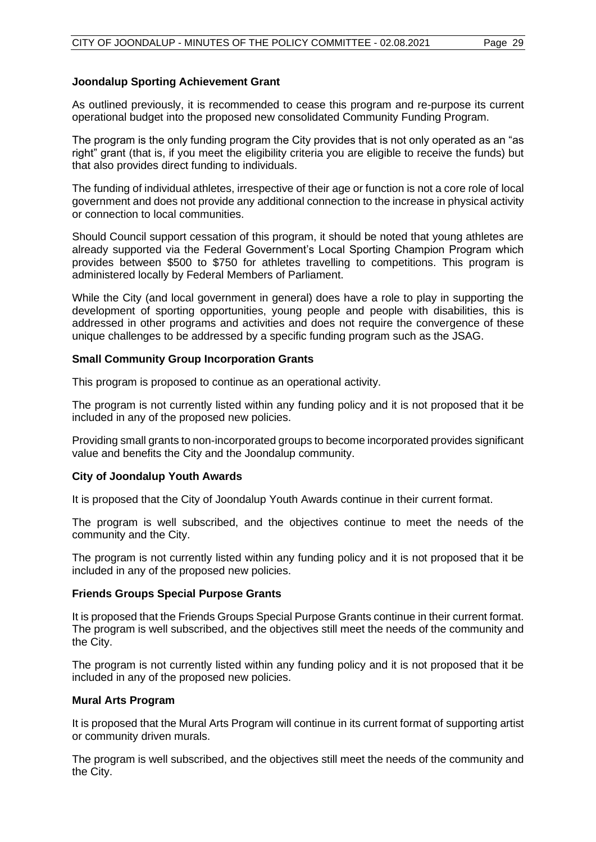#### **Joondalup Sporting Achievement Grant**

As outlined previously, it is recommended to cease this program and re-purpose its current operational budget into the proposed new consolidated Community Funding Program.

The program is the only funding program the City provides that is not only operated as an "as right" grant (that is, if you meet the eligibility criteria you are eligible to receive the funds) but that also provides direct funding to individuals.

The funding of individual athletes, irrespective of their age or function is not a core role of local government and does not provide any additional connection to the increase in physical activity or connection to local communities.

Should Council support cessation of this program, it should be noted that young athletes are already supported via the Federal Government's Local Sporting Champion Program which provides between \$500 to \$750 for athletes travelling to competitions. This program is administered locally by Federal Members of Parliament.

While the City (and local government in general) does have a role to play in supporting the development of sporting opportunities, young people and people with disabilities, this is addressed in other programs and activities and does not require the convergence of these unique challenges to be addressed by a specific funding program such as the JSAG.

#### **Small Community Group Incorporation Grants**

This program is proposed to continue as an operational activity.

The program is not currently listed within any funding policy and it is not proposed that it be included in any of the proposed new policies.

Providing small grants to non-incorporated groups to become incorporated provides significant value and benefits the City and the Joondalup community.

#### **City of Joondalup Youth Awards**

It is proposed that the City of Joondalup Youth Awards continue in their current format.

The program is well subscribed, and the objectives continue to meet the needs of the community and the City.

The program is not currently listed within any funding policy and it is not proposed that it be included in any of the proposed new policies.

#### **Friends Groups Special Purpose Grants**

It is proposed that the Friends Groups Special Purpose Grants continue in their current format. The program is well subscribed, and the objectives still meet the needs of the community and the City.

The program is not currently listed within any funding policy and it is not proposed that it be included in any of the proposed new policies.

#### **Mural Arts Program**

It is proposed that the Mural Arts Program will continue in its current format of supporting artist or community driven murals.

The program is well subscribed, and the objectives still meet the needs of the community and the City.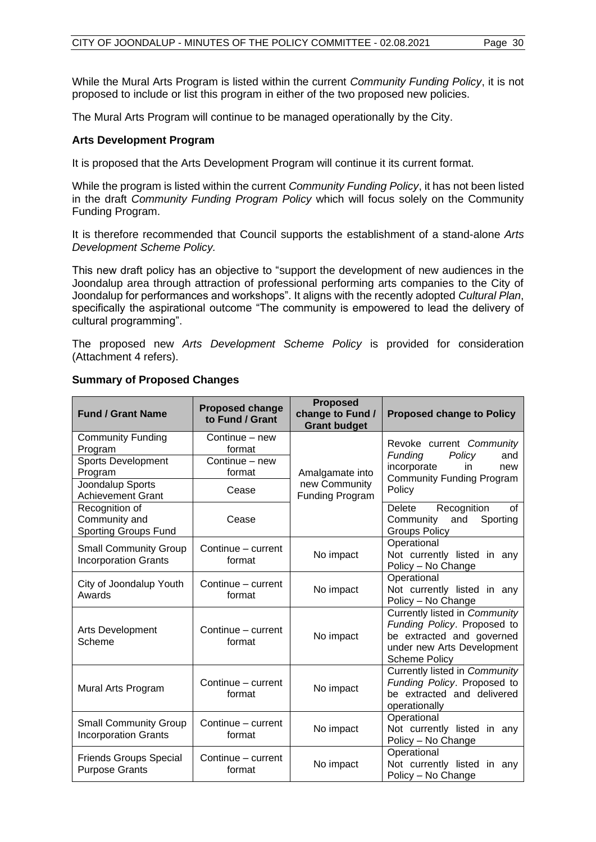While the Mural Arts Program is listed within the current *Community Funding Policy*, it is not proposed to include or list this program in either of the two proposed new policies.

The Mural Arts Program will continue to be managed operationally by the City.

#### **Arts Development Program**

It is proposed that the Arts Development Program will continue it its current format.

While the program is listed within the current *Community Funding Policy*, it has not been listed in the draft *Community Funding Program Policy* which will focus solely on the Community Funding Program.

It is therefore recommended that Council supports the establishment of a stand-alone *Arts Development Scheme Policy.* 

This new draft policy has an objective to "support the development of new audiences in the Joondalup area through attraction of professional performing arts companies to the City of Joondalup for performances and workshops". It aligns with the recently adopted *Cultural Plan*, specifically the aspirational outcome "The community is empowered to lead the delivery of cultural programming".

The proposed new *Arts Development Scheme Policy* is provided for consideration (Attachment 4 refers).

| <b>Fund / Grant Name</b>                                       | <b>Proposed change</b><br>to Fund / Grant | <b>Proposed</b><br>change to Fund /<br><b>Grant budget</b>        | <b>Proposed change to Policy</b>                                                                                                                |
|----------------------------------------------------------------|-------------------------------------------|-------------------------------------------------------------------|-------------------------------------------------------------------------------------------------------------------------------------------------|
| <b>Community Funding</b><br>Program                            | Continue - new<br>format                  |                                                                   | Revoke current Community                                                                                                                        |
| Sports Development<br>Program                                  | Continue - new<br>format                  | <b>Funding</b><br>Policy<br>incorporate<br>in.<br>Amalgamate into | and<br>new<br><b>Community Funding Program</b>                                                                                                  |
| <b>Joondalup Sports</b><br><b>Achievement Grant</b>            | Cease                                     | new Community<br><b>Funding Program</b>                           | Policy                                                                                                                                          |
| Recognition of<br>Community and<br><b>Sporting Groups Fund</b> | Cease                                     |                                                                   | Recognition<br>Delete<br>0f<br>and<br>Community<br>Sporting<br><b>Groups Policy</b>                                                             |
| <b>Small Community Group</b><br><b>Incorporation Grants</b>    | Continue – current<br>format              | No impact                                                         | Operational<br>Not currently listed in any<br>Policy - No Change                                                                                |
| City of Joondalup Youth<br>Awards                              | Continue - current<br>format              | No impact                                                         | Operational<br>Not currently listed in any<br>Policy - No Change                                                                                |
| Arts Development<br>Scheme                                     | Continue – current<br>format              | No impact                                                         | Currently listed in Community<br>Funding Policy. Proposed to<br>be extracted and governed<br>under new Arts Development<br><b>Scheme Policy</b> |
| Mural Arts Program                                             | Continue - current<br>format              | No impact                                                         | Currently listed in Community<br>Funding Policy. Proposed to<br>be extracted and delivered<br>operationally                                     |
| <b>Small Community Group</b><br><b>Incorporation Grants</b>    | Continue – current<br>format              | No impact                                                         | Operational<br>Not currently listed in any<br>Policy - No Change                                                                                |
| <b>Friends Groups Special</b><br><b>Purpose Grants</b>         | Continue - current<br>format              | No impact                                                         | Operational<br>Not currently listed in any<br>Policy - No Change                                                                                |

#### **Summary of Proposed Changes**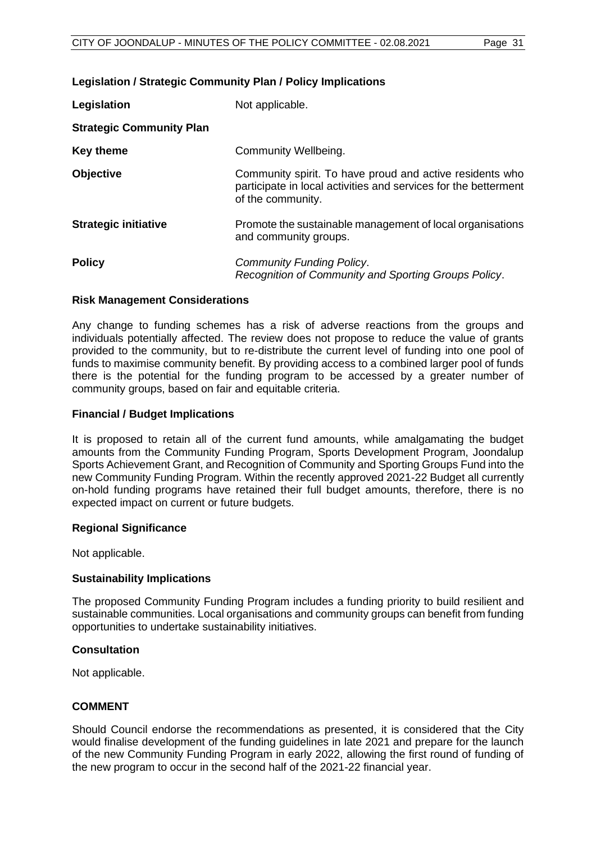#### **Legislation / Strategic Community Plan / Policy Implications**

| Legislation                     | Not applicable.                                                                                                                                  |
|---------------------------------|--------------------------------------------------------------------------------------------------------------------------------------------------|
| <b>Strategic Community Plan</b> |                                                                                                                                                  |
| <b>Key theme</b>                | Community Wellbeing.                                                                                                                             |
| <b>Objective</b>                | Community spirit. To have proud and active residents who<br>participate in local activities and services for the betterment<br>of the community. |
| <b>Strategic initiative</b>     | Promote the sustainable management of local organisations<br>and community groups.                                                               |
| <b>Policy</b>                   | <b>Community Funding Policy.</b><br>Recognition of Community and Sporting Groups Policy.                                                         |

#### **Risk Management Considerations**

Any change to funding schemes has a risk of adverse reactions from the groups and individuals potentially affected. The review does not propose to reduce the value of grants provided to the community, but to re-distribute the current level of funding into one pool of funds to maximise community benefit. By providing access to a combined larger pool of funds there is the potential for the funding program to be accessed by a greater number of community groups, based on fair and equitable criteria.

#### **Financial / Budget Implications**

It is proposed to retain all of the current fund amounts, while amalgamating the budget amounts from the Community Funding Program, Sports Development Program, Joondalup Sports Achievement Grant, and Recognition of Community and Sporting Groups Fund into the new Community Funding Program. Within the recently approved 2021-22 Budget all currently on-hold funding programs have retained their full budget amounts, therefore, there is no expected impact on current or future budgets.

#### **Regional Significance**

Not applicable.

#### **Sustainability Implications**

The proposed Community Funding Program includes a funding priority to build resilient and sustainable communities. Local organisations and community groups can benefit from funding opportunities to undertake sustainability initiatives.

#### **Consultation**

Not applicable.

#### **COMMENT**

Should Council endorse the recommendations as presented, it is considered that the City would finalise development of the funding guidelines in late 2021 and prepare for the launch of the new Community Funding Program in early 2022, allowing the first round of funding of the new program to occur in the second half of the 2021-22 financial year.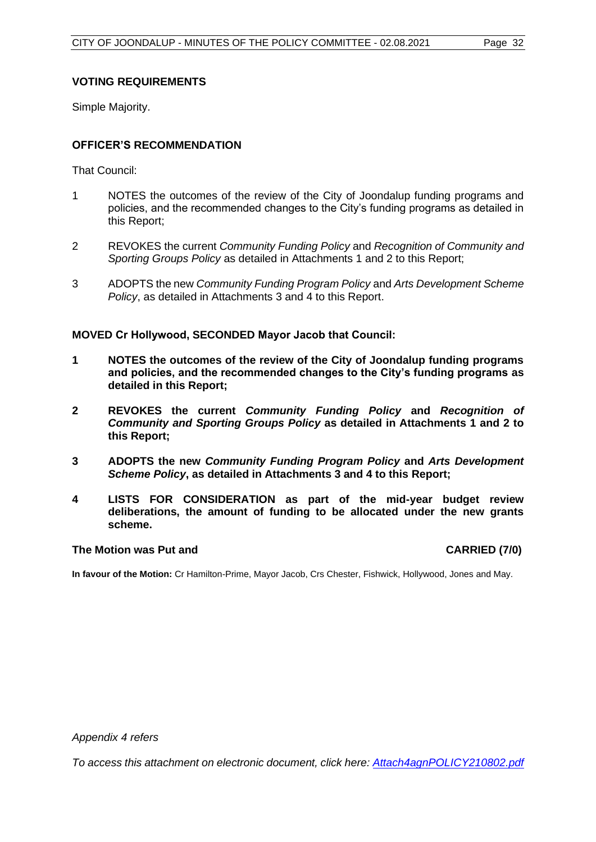#### **VOTING REQUIREMENTS**

Simple Majority.

#### **OFFICER'S RECOMMENDATION**

That Council:

- 1 NOTES the outcomes of the review of the City of Joondalup funding programs and policies, and the recommended changes to the City's funding programs as detailed in this Report;
- 2 REVOKES the current *Community Funding Policy* and *Recognition of Community and Sporting Groups Policy* as detailed in Attachments 1 and 2 to this Report;
- 3 ADOPTS the new *Community Funding Program Policy* and *Arts Development Scheme Policy*, as detailed in Attachments 3 and 4 to this Report.

#### **MOVED Cr Hollywood, SECONDED Mayor Jacob that Council:**

- **1 NOTES the outcomes of the review of the City of Joondalup funding programs and policies, and the recommended changes to the City's funding programs as detailed in this Report;**
- **2 REVOKES the current** *Community Funding Policy* **and** *Recognition of Community and Sporting Groups Policy* **as detailed in Attachments 1 and 2 to this Report;**
- **3 ADOPTS the new** *Community Funding Program Policy* **and** *Arts Development Scheme Policy***, as detailed in Attachments 3 and 4 to this Report;**
- **4 LISTS FOR CONSIDERATION as part of the mid-year budget review deliberations, the amount of funding to be allocated under the new grants scheme.**

#### **The Motion was Put and CARRIED (7/0)**

**In favour of the Motion:** Cr Hamilton-Prime, Mayor Jacob, Crs Chester, Fishwick, Hollywood, Jones and May.

*Appendix 4 refers*

*[To access this attachment on electronic document, click here: Attach4agnPOLICY210802.pdf](http://www.joondalup.wa.gov.au/files/committees/POLI/2021/Attach4agnPOLICY210802.pdf)*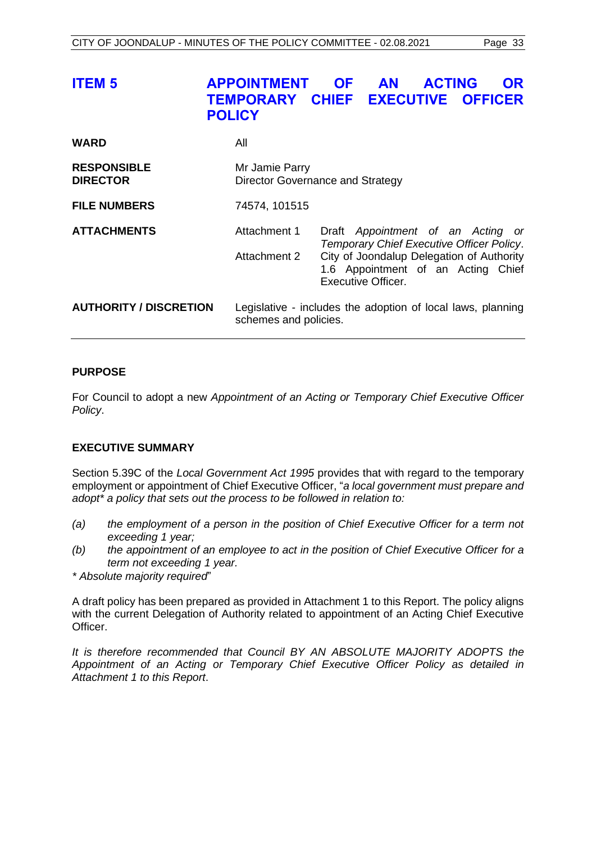<span id="page-32-0"></span>

| <b>ITEM 5</b>                         | <b>APPOINTMENT</b><br>TEMPORARY CHIEF EXECUTIVE OFFICER<br><b>POLICY</b>             | <b>OF</b> | <b>AN</b>                 | <b>ACTING</b> | <b>OR</b>                                                                                                                                                         |
|---------------------------------------|--------------------------------------------------------------------------------------|-----------|---------------------------|---------------|-------------------------------------------------------------------------------------------------------------------------------------------------------------------|
| <b>WARD</b>                           | All                                                                                  |           |                           |               |                                                                                                                                                                   |
| <b>RESPONSIBLE</b><br><b>DIRECTOR</b> | Mr Jamie Parry<br>Director Governance and Strategy                                   |           |                           |               |                                                                                                                                                                   |
| <b>FILE NUMBERS</b>                   | 74574, 101515                                                                        |           |                           |               |                                                                                                                                                                   |
| <b>ATTACHMENTS</b>                    | Attachment 1<br>Attachment 2                                                         |           |                           |               | Draft Appointment of an Acting or<br>Temporary Chief Executive Officer Policy.<br>City of Joondalup Delegation of Authority<br>1.6 Appointment of an Acting Chief |
| <b>AUTHORITY / DISCRETION</b>         | Legislative - includes the adoption of local laws, planning<br>schemes and policies. |           | <b>Executive Officer.</b> |               |                                                                                                                                                                   |

#### **PURPOSE**

For Council to adopt a new *Appointment of an Acting or Temporary Chief Executive Officer Policy*.

#### **EXECUTIVE SUMMARY**

Section 5.39C of the *Local Government Act 1995* provides that with regard to the temporary employment or appointment of Chief Executive Officer, "*a local government must prepare and adopt\* a policy that sets out the process to be followed in relation to:*

- *(a) the employment of a person in the position of Chief Executive Officer for a term not exceeding 1 year;*
- *(b) the appointment of an employee to act in the position of Chief Executive Officer for a term not exceeding 1 year.*
- *\* Absolute majority required*"

A draft policy has been prepared as provided in Attachment 1 to this Report. The policy aligns with the current Delegation of Authority related to appointment of an Acting Chief Executive Officer.

*It is therefore recommended that Council BY AN ABSOLUTE MAJORITY ADOPTS the Appointment of an Acting or Temporary Chief Executive Officer Policy as detailed in Attachment 1 to this Report*.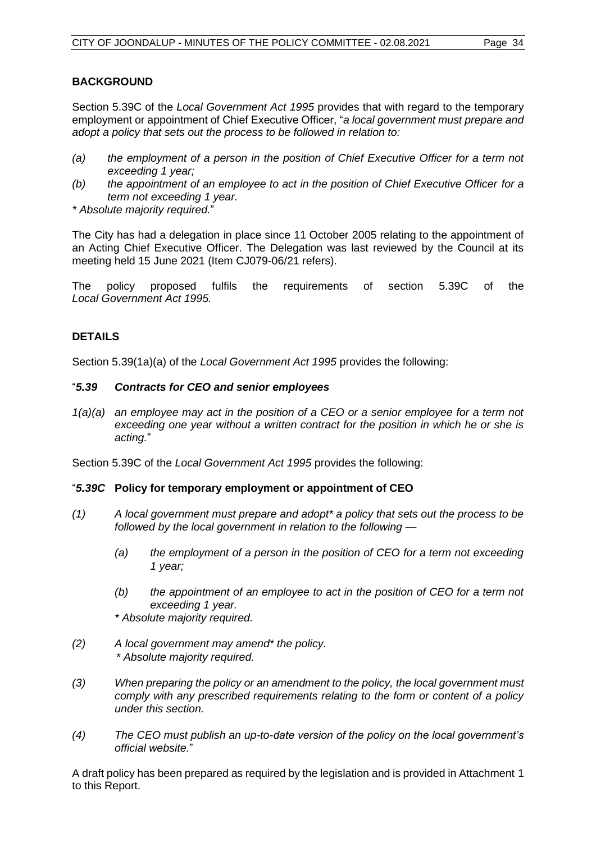#### **BACKGROUND**

Section 5.39C of the *Local Government Act 1995* provides that with regard to the temporary employment or appointment of Chief Executive Officer, "*a local government must prepare and adopt a policy that sets out the process to be followed in relation to:*

- *(a) the employment of a person in the position of Chief Executive Officer for a term not exceeding 1 year;*
- *(b) the appointment of an employee to act in the position of Chief Executive Officer for a term not exceeding 1 year.*

*\* Absolute majority required.*"

The City has had a delegation in place since 11 October 2005 relating to the appointment of an Acting Chief Executive Officer. The Delegation was last reviewed by the Council at its meeting held 15 June 2021 (Item CJ079-06/21 refers).

The policy proposed fulfils the requirements of section 5.39C of the *Local Government Act 1995.*

#### **DETAILS**

Section 5.39(1a)(a) of the *Local Government Act 1995* provides the following:

#### "*5.39 Contracts for CEO and senior employees*

*1(a)(a) an employee may act in the position of a CEO or a senior employee for a term not exceeding one year without a written contract for the position in which he or she is acting.*"

Section 5.39C of the *Local Government Act 1995* provides the following:

#### "*5.39C* **Policy for temporary employment or appointment of CEO**

- *(1) A local government must prepare and adopt\* a policy that sets out the process to be followed by the local government in relation to the following —*
	- *(a) the employment of a person in the position of CEO for a term not exceeding 1 year;*
	- *(b) the appointment of an employee to act in the position of CEO for a term not exceeding 1 year.*
	- *\* Absolute majority required.*
- *(2) A local government may amend\* the policy. \* Absolute majority required.*
- *(3) When preparing the policy or an amendment to the policy, the local government must comply with any prescribed requirements relating to the form or content of a policy under this section.*
- *(4) The CEO must publish an up-to-date version of the policy on the local government's official website.*"

A draft policy has been prepared as required by the legislation and is provided in Attachment 1 to this Report.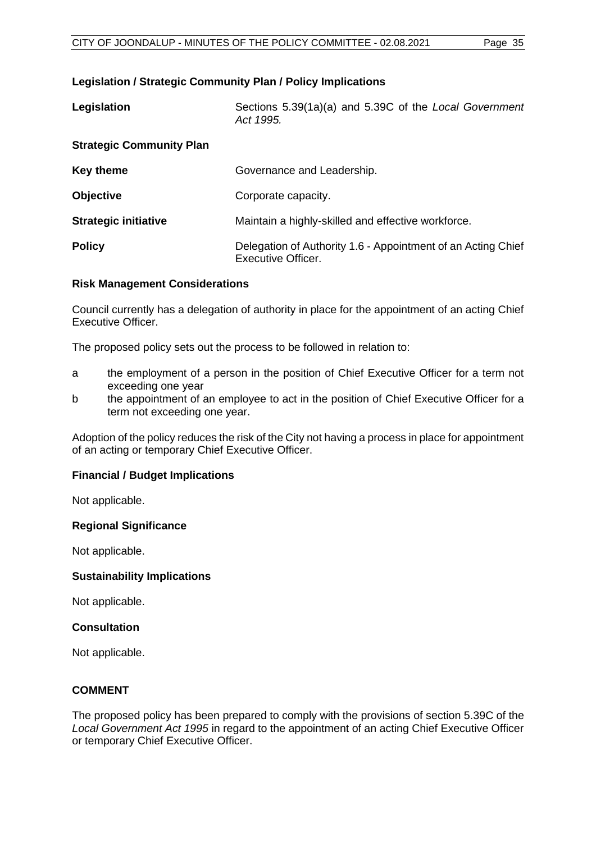#### **Legislation / Strategic Community Plan / Policy Implications**

| Legislation                     | Sections 5.39(1a)(a) and 5.39C of the Local Government<br>Act 1995.                       |
|---------------------------------|-------------------------------------------------------------------------------------------|
| <b>Strategic Community Plan</b> |                                                                                           |
| <b>Key theme</b>                | Governance and Leadership.                                                                |
| <b>Objective</b>                | Corporate capacity.                                                                       |
| <b>Strategic initiative</b>     | Maintain a highly-skilled and effective workforce.                                        |
| <b>Policy</b>                   | Delegation of Authority 1.6 - Appointment of an Acting Chief<br><b>Executive Officer.</b> |

#### **Risk Management Considerations**

Council currently has a delegation of authority in place for the appointment of an acting Chief Executive Officer.

The proposed policy sets out the process to be followed in relation to:

- a the employment of a person in the position of Chief Executive Officer for a term not exceeding one year
- b the appointment of an employee to act in the position of Chief Executive Officer for a term not exceeding one year.

Adoption of the policy reduces the risk of the City not having a process in place for appointment of an acting or temporary Chief Executive Officer.

#### **Financial / Budget Implications**

Not applicable.

#### **Regional Significance**

Not applicable.

#### **Sustainability Implications**

Not applicable.

#### **Consultation**

Not applicable.

#### **COMMENT**

The proposed policy has been prepared to comply with the provisions of section 5.39C of the *Local Government Act 1995* in regard to the appointment of an acting Chief Executive Officer or temporary Chief Executive Officer.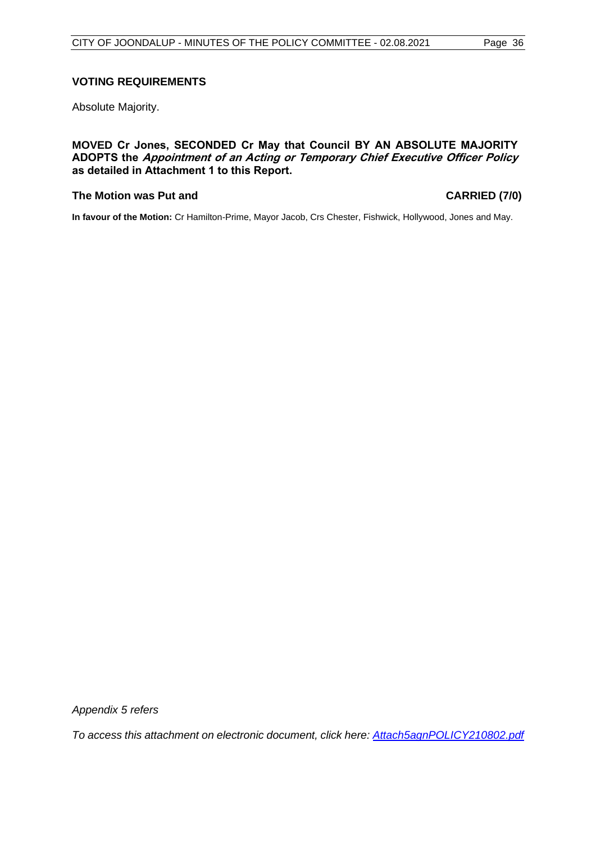#### **VOTING REQUIREMENTS**

Absolute Majority.

**MOVED Cr Jones, SECONDED Cr May that Council BY AN ABSOLUTE MAJORITY ADOPTS the Appointment of an Acting or Temporary Chief Executive Officer Policy as detailed in Attachment 1 to this Report.**

#### **The Motion was Put and CARRIED (7/0)**

**In favour of the Motion:** Cr Hamilton-Prime, Mayor Jacob, Crs Chester, Fishwick, Hollywood, Jones and May.

*Appendix 5 refers*

*[To access this attachment on electronic document, click here:](http://www.joondalup.wa.gov.au/files/committees/POLI/2021/Attach5agnPOLICY210802.pdf) Attach5agnPOLICY210802.pdf*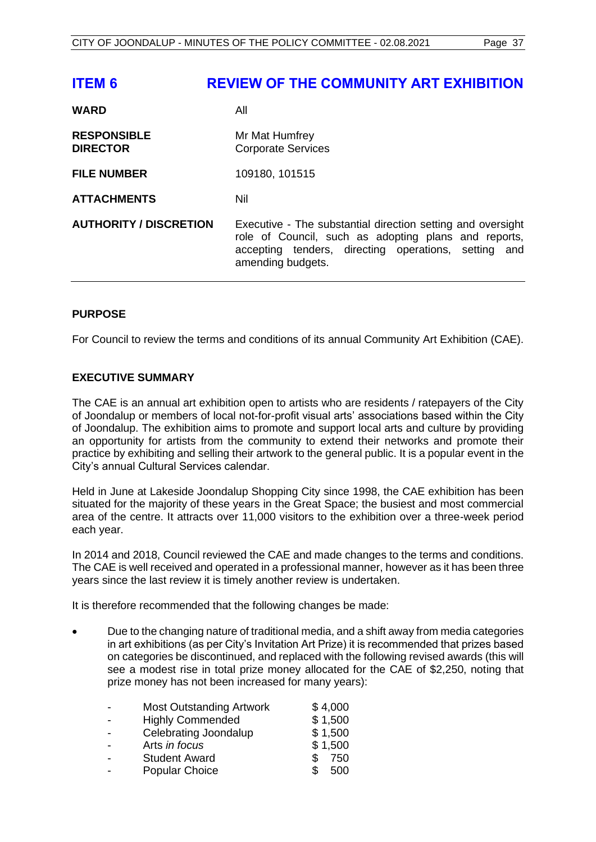<span id="page-36-0"></span>

| <b>ITEM 6</b>                         | <b>REVIEW OF THE COMMUNITY ART EXHIBITION</b>                                                                                                                                                    |
|---------------------------------------|--------------------------------------------------------------------------------------------------------------------------------------------------------------------------------------------------|
| <b>WARD</b>                           | All                                                                                                                                                                                              |
| <b>RESPONSIBLE</b><br><b>DIRECTOR</b> | Mr Mat Humfrey<br><b>Corporate Services</b>                                                                                                                                                      |
| <b>FILE NUMBER</b>                    | 109180, 101515                                                                                                                                                                                   |
| <b>ATTACHMENTS</b>                    | Nil                                                                                                                                                                                              |
| <b>AUTHORITY / DISCRETION</b>         | Executive - The substantial direction setting and oversight<br>role of Council, such as adopting plans and reports,<br>accepting tenders, directing operations, setting and<br>amending budgets. |

#### **PURPOSE**

For Council to review the terms and conditions of its annual Community Art Exhibition (CAE).

#### **EXECUTIVE SUMMARY**

The CAE is an annual art exhibition open to artists who are residents / ratepayers of the City of Joondalup or members of local not-for-profit visual arts' associations based within the City of Joondalup. The exhibition aims to promote and support local arts and culture by providing an opportunity for artists from the community to extend their networks and promote their practice by exhibiting and selling their artwork to the general public. It is a popular event in the City's annual Cultural Services calendar.

Held in June at Lakeside Joondalup Shopping City since 1998, the CAE exhibition has been situated for the majority of these years in the Great Space; the busiest and most commercial area of the centre. It attracts over 11,000 visitors to the exhibition over a three-week period each year.

In 2014 and 2018, Council reviewed the CAE and made changes to the terms and conditions. The CAE is well received and operated in a professional manner, however as it has been three years since the last review it is timely another review is undertaken.

It is therefore recommended that the following changes be made:

• Due to the changing nature of traditional media, and a shift away from media categories in art exhibitions (as per City's Invitation Art Prize) it is recommended that prizes based on categories be discontinued, and replaced with the following revised awards (this will see a modest rise in total prize money allocated for the CAE of \$2,250, noting that prize money has not been increased for many years):

| $\overline{a}$ | <b>Most Outstanding Artwork</b> | \$4,000    |
|----------------|---------------------------------|------------|
| $\overline{a}$ | <b>Highly Commended</b>         | \$1,500    |
|                | Celebrating Joondalup           | \$1,500    |
| $\overline{a}$ | Arts in focus                   | \$1,500    |
|                | <b>Student Award</b>            | 750<br>\$. |
|                | <b>Popular Choice</b>           | \$.<br>500 |
|                |                                 |            |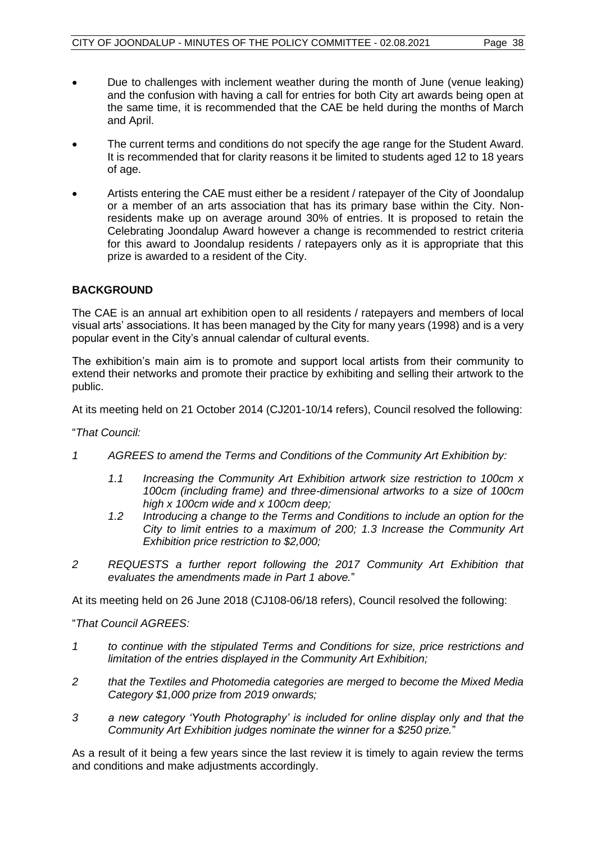- Due to challenges with inclement weather during the month of June (venue leaking) and the confusion with having a call for entries for both City art awards being open at the same time, it is recommended that the CAE be held during the months of March and April.
- The current terms and conditions do not specify the age range for the Student Award. It is recommended that for clarity reasons it be limited to students aged 12 to 18 years of age.
- Artists entering the CAE must either be a resident / ratepayer of the City of Joondalup or a member of an arts association that has its primary base within the City. Nonresidents make up on average around 30% of entries. It is proposed to retain the Celebrating Joondalup Award however a change is recommended to restrict criteria for this award to Joondalup residents / ratepayers only as it is appropriate that this prize is awarded to a resident of the City.

#### **BACKGROUND**

The CAE is an annual art exhibition open to all residents / ratepayers and members of local visual arts' associations. It has been managed by the City for many years (1998) and is a very popular event in the City's annual calendar of cultural events.

The exhibition's main aim is to promote and support local artists from their community to extend their networks and promote their practice by exhibiting and selling their artwork to the public.

At its meeting held on 21 October 2014 (CJ201-10/14 refers), Council resolved the following:

"*That Council:* 

- *1 AGREES to amend the Terms and Conditions of the Community Art Exhibition by:* 
	- *1.1 Increasing the Community Art Exhibition artwork size restriction to 100cm x 100cm (including frame) and three-dimensional artworks to a size of 100cm high x 100cm wide and x 100cm deep;*
	- *1.2 Introducing a change to the Terms and Conditions to include an option for the City to limit entries to a maximum of 200; 1.3 Increase the Community Art Exhibition price restriction to \$2,000;*
- *2 REQUESTS a further report following the 2017 Community Art Exhibition that evaluates the amendments made in Part 1 above.*"

At its meeting held on 26 June 2018 (CJ108-06/18 refers), Council resolved the following:

"*That Council AGREES:* 

- *1 to continue with the stipulated Terms and Conditions for size, price restrictions and limitation of the entries displayed in the Community Art Exhibition;*
- *2 that the Textiles and Photomedia categories are merged to become the Mixed Media Category \$1,000 prize from 2019 onwards;*
- *3 a new category 'Youth Photography' is included for online display only and that the Community Art Exhibition judges nominate the winner for a \$250 prize.*"

As a result of it being a few years since the last review it is timely to again review the terms and conditions and make adjustments accordingly.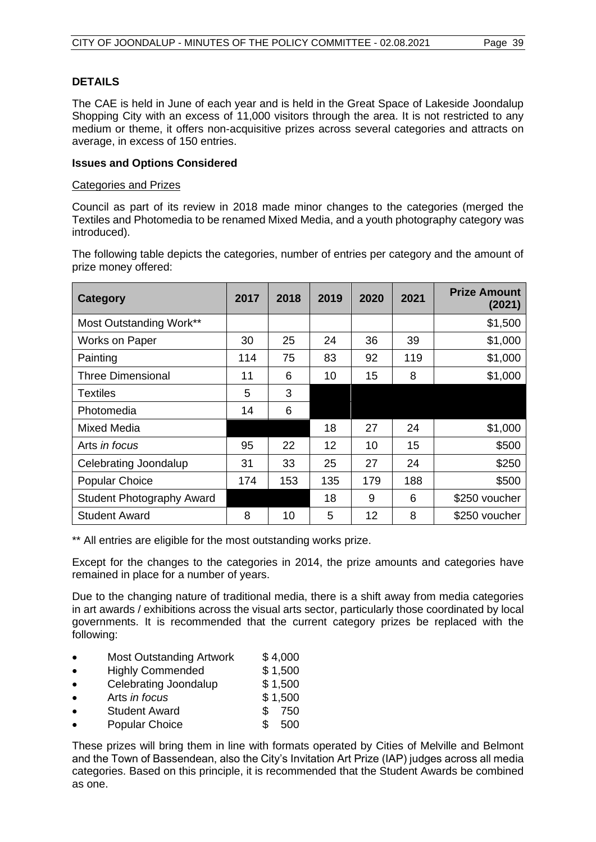#### **DETAILS**

The CAE is held in June of each year and is held in the Great Space of Lakeside Joondalup Shopping City with an excess of 11,000 visitors through the area. It is not restricted to any medium or theme, it offers non-acquisitive prizes across several categories and attracts on average, in excess of 150 entries.

#### **Issues and Options Considered**

#### Categories and Prizes

Council as part of its review in 2018 made minor changes to the categories (merged the Textiles and Photomedia to be renamed Mixed Media, and a youth photography category was introduced).

The following table depicts the categories, number of entries per category and the amount of prize money offered:

| <b>Category</b>                  | 2017 | 2018 | 2019 | 2020 | 2021 | <b>Prize Amount</b><br>(2021) |
|----------------------------------|------|------|------|------|------|-------------------------------|
| Most Outstanding Work**          |      |      |      |      |      | \$1,500                       |
| <b>Works on Paper</b>            | 30   | 25   | 24   | 36   | 39   | \$1,000                       |
| Painting                         | 114  | 75   | 83   | 92   | 119  | \$1,000                       |
| <b>Three Dimensional</b>         | 11   | 6    | 10   | 15   | 8    | \$1,000                       |
| <b>Textiles</b>                  | 5    | 3    |      |      |      |                               |
| Photomedia                       | 14   | 6    |      |      |      |                               |
| Mixed Media                      |      |      | 18   | 27   | 24   | \$1,000                       |
| Arts in focus                    | 95   | 22   | 12   | 10   | 15   | \$500                         |
| Celebrating Joondalup            | 31   | 33   | 25   | 27   | 24   | \$250                         |
| <b>Popular Choice</b>            | 174  | 153  | 135  | 179  | 188  | \$500                         |
| <b>Student Photography Award</b> |      |      | 18   | 9    | 6    | \$250 voucher                 |
| <b>Student Award</b>             | 8    | 10   | 5    | 12   | 8    | \$250 voucher                 |

\*\* All entries are eligible for the most outstanding works prize.

Except for the changes to the categories in 2014, the prize amounts and categories have remained in place for a number of years.

Due to the changing nature of traditional media, there is a shift away from media categories in art awards / exhibitions across the visual arts sector, particularly those coordinated by local governments. It is recommended that the current category prizes be replaced with the following:

- Most Outstanding Artwork \$4,000
- Highly Commended \$1,500
- Celebrating Joondalup \$1,500
- Arts *in focus* \$ 1,500
- Student Award \$ 750
- Popular Choice \$ 500

These prizes will bring them in line with formats operated by Cities of Melville and Belmont and the Town of Bassendean, also the City's Invitation Art Prize (IAP) judges across all media categories. Based on this principle, it is recommended that the Student Awards be combined as one.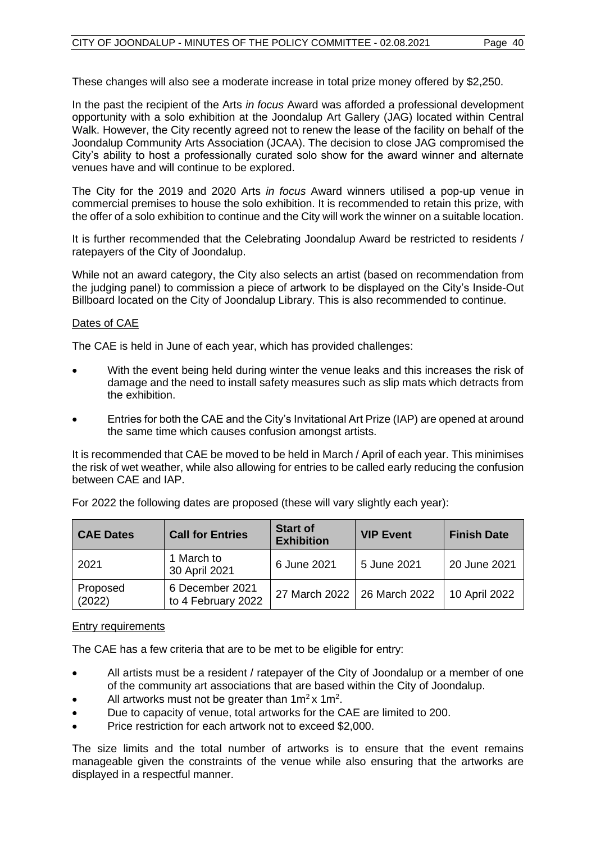These changes will also see a moderate increase in total prize money offered by \$2,250.

In the past the recipient of the Arts *in focus* Award was afforded a professional development opportunity with a solo exhibition at the Joondalup Art Gallery (JAG) located within Central Walk. However, the City recently agreed not to renew the lease of the facility on behalf of the Joondalup Community Arts Association (JCAA). The decision to close JAG compromised the City's ability to host a professionally curated solo show for the award winner and alternate venues have and will continue to be explored.

The City for the 2019 and 2020 Arts *in focus* Award winners utilised a pop-up venue in commercial premises to house the solo exhibition. It is recommended to retain this prize, with the offer of a solo exhibition to continue and the City will work the winner on a suitable location.

It is further recommended that the Celebrating Joondalup Award be restricted to residents / ratepayers of the City of Joondalup.

While not an award category, the City also selects an artist (based on recommendation from the judging panel) to commission a piece of artwork to be displayed on the City's Inside-Out Billboard located on the City of Joondalup Library. This is also recommended to continue.

#### Dates of CAE

The CAE is held in June of each year, which has provided challenges:

- With the event being held during winter the venue leaks and this increases the risk of damage and the need to install safety measures such as slip mats which detracts from the exhibition.
- Entries for both the CAE and the City's Invitational Art Prize (IAP) are opened at around the same time which causes confusion amongst artists.

It is recommended that CAE be moved to be held in March / April of each year. This minimises the risk of wet weather, while also allowing for entries to be called early reducing the confusion between CAE and IAP.

| <b>CAE Dates</b>   | <b>Call for Entries</b>               | <b>Start of</b><br><b>Exhibition</b> | <b>VIP Event</b> | <b>Finish Date</b> |
|--------------------|---------------------------------------|--------------------------------------|------------------|--------------------|
| 2021               | 1 March to<br>30 April 2021           | 6 June 2021                          | 5 June 2021      | 20 June 2021       |
| Proposed<br>(2022) | 6 December 2021<br>to 4 February 2022 | 27 March 2022   26 March 2022        |                  | 10 April 2022      |

For 2022 the following dates are proposed (these will vary slightly each year):

#### Entry requirements

The CAE has a few criteria that are to be met to be eligible for entry:

- All artists must be a resident / ratepayer of the City of Joondalup or a member of one of the community art associations that are based within the City of Joondalup.
- All artworks must not be greater than  $1m^2x 1m^2$ .
- Due to capacity of venue, total artworks for the CAE are limited to 200.
- Price restriction for each artwork not to exceed \$2,000.

The size limits and the total number of artworks is to ensure that the event remains manageable given the constraints of the venue while also ensuring that the artworks are displayed in a respectful manner.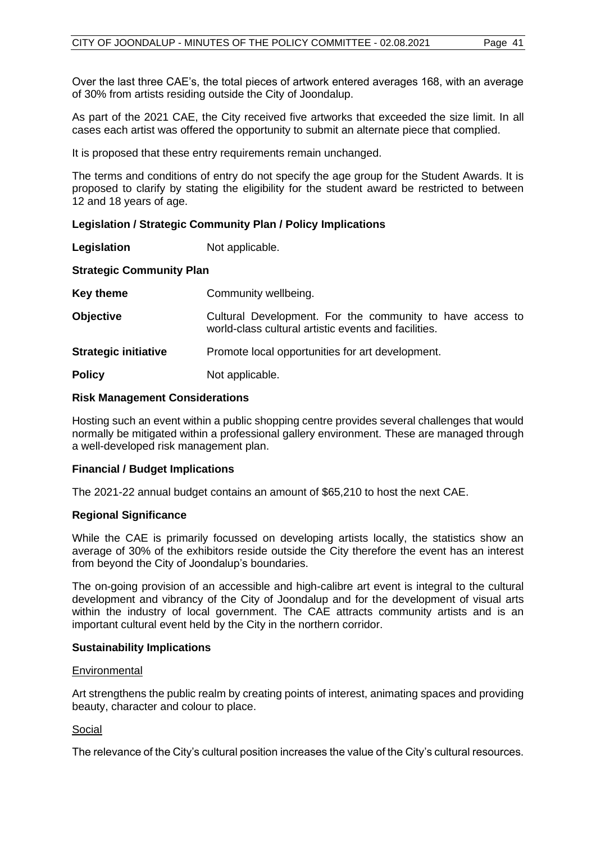Over the last three CAE's, the total pieces of artwork entered averages 168, with an average of 30% from artists residing outside the City of Joondalup.

As part of the 2021 CAE, the City received five artworks that exceeded the size limit. In all cases each artist was offered the opportunity to submit an alternate piece that complied.

It is proposed that these entry requirements remain unchanged.

The terms and conditions of entry do not specify the age group for the Student Awards. It is proposed to clarify by stating the eligibility for the student award be restricted to between 12 and 18 years of age.

#### **Legislation / Strategic Community Plan / Policy Implications**

**Legislation** Not applicable.

#### **Strategic Community Plan**

| Key theme                   | Community wellbeing.                                                                                              |
|-----------------------------|-------------------------------------------------------------------------------------------------------------------|
| <b>Objective</b>            | Cultural Development. For the community to have access to<br>world-class cultural artistic events and facilities. |
| <b>Strategic initiative</b> | Promote local opportunities for art development.                                                                  |
| <b>Policy</b>               | Not applicable.                                                                                                   |

#### **Risk Management Considerations**

Hosting such an event within a public shopping centre provides several challenges that would normally be mitigated within a professional gallery environment. These are managed through a well-developed risk management plan.

#### **Financial / Budget Implications**

The 2021-22 annual budget contains an amount of \$65,210 to host the next CAE.

#### **Regional Significance**

While the CAE is primarily focussed on developing artists locally, the statistics show an average of 30% of the exhibitors reside outside the City therefore the event has an interest from beyond the City of Joondalup's boundaries.

The on-going provision of an accessible and high-calibre art event is integral to the cultural development and vibrancy of the City of Joondalup and for the development of visual arts within the industry of local government. The CAE attracts community artists and is an important cultural event held by the City in the northern corridor.

#### **Sustainability Implications**

#### **Environmental**

Art strengthens the public realm by creating points of interest, animating spaces and providing beauty, character and colour to place.

#### Social

The relevance of the City's cultural position increases the value of the City's cultural resources.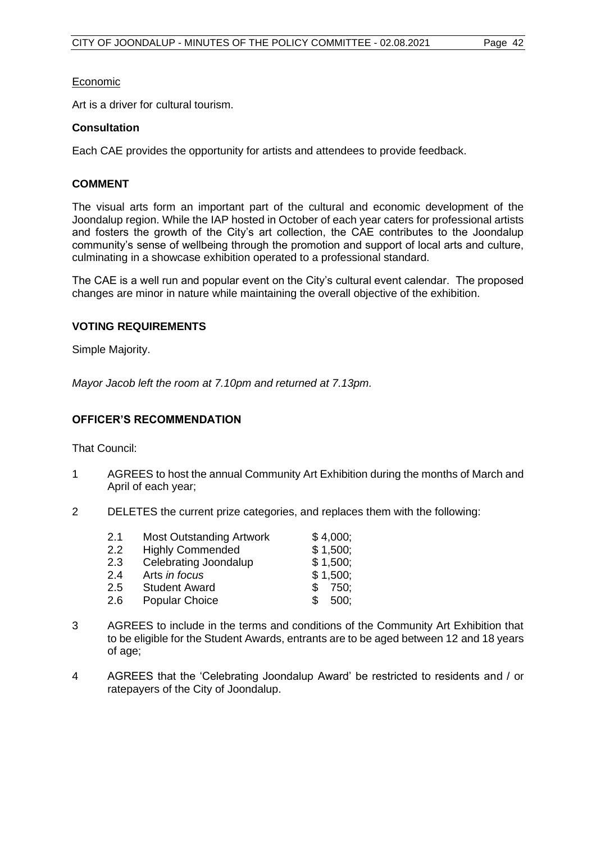#### Economic

Art is a driver for cultural tourism.

#### **Consultation**

Each CAE provides the opportunity for artists and attendees to provide feedback.

#### **COMMENT**

The visual arts form an important part of the cultural and economic development of the Joondalup region. While the IAP hosted in October of each year caters for professional artists and fosters the growth of the City's art collection, the CAE contributes to the Joondalup community's sense of wellbeing through the promotion and support of local arts and culture, culminating in a showcase exhibition operated to a professional standard.

The CAE is a well run and popular event on the City's cultural event calendar. The proposed changes are minor in nature while maintaining the overall objective of the exhibition.

#### **VOTING REQUIREMENTS**

Simple Majority.

*Mayor Jacob left the room at 7.10pm and returned at 7.13pm.*

#### **OFFICER'S RECOMMENDATION**

That Council:

- 1 AGREES to host the annual Community Art Exhibition during the months of March and April of each year;
- 2 DELETES the current prize categories, and replaces them with the following:

| 2.1 | <b>Most Outstanding Artwork</b> | \$4,000;    |
|-----|---------------------------------|-------------|
| 2.2 | <b>Highly Commended</b>         | \$1,500;    |
| 2.3 | Celebrating Joondalup           | \$1,500;    |
| 2.4 | Arts in focus                   | \$1,500;    |
| 2.5 | <b>Student Award</b>            | 750:<br>\$. |
| 2.6 | <b>Popular Choice</b>           | 500:<br>\$. |
|     |                                 |             |

- 3 AGREES to include in the terms and conditions of the Community Art Exhibition that to be eligible for the Student Awards, entrants are to be aged between 12 and 18 years of age;
- 4 AGREES that the 'Celebrating Joondalup Award' be restricted to residents and / or ratepayers of the City of Joondalup.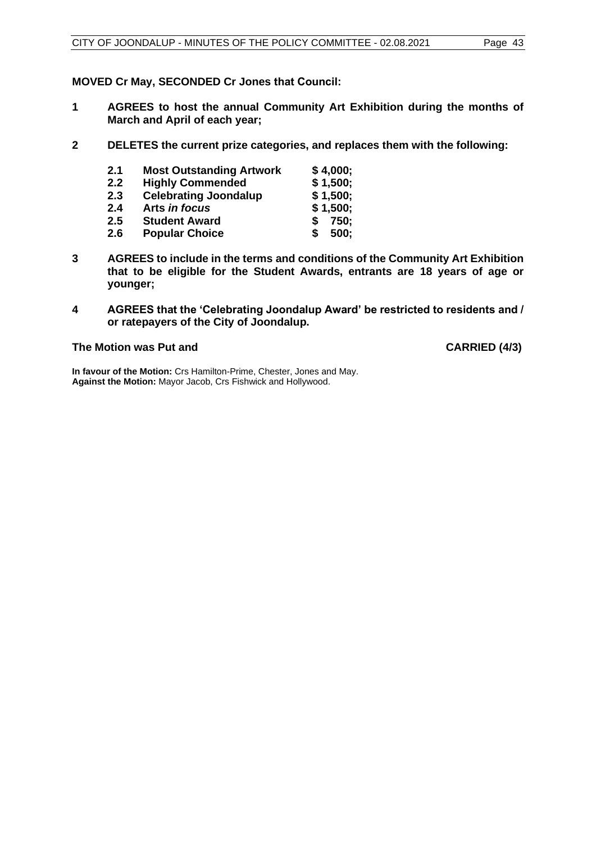**MOVED Cr May, SECONDED Cr Jones that Council:**

- **1 AGREES to host the annual Community Art Exhibition during the months of March and April of each year;**
- **2 DELETES the current prize categories, and replaces them with the following:**

| 2.1 | <b>Most Outstanding Artwork</b> | \$4,000;  |
|-----|---------------------------------|-----------|
| 2.2 | <b>Highly Commended</b>         | \$1,500;  |
| 2.3 | <b>Celebrating Joondalup</b>    | \$1,500;  |
| 2.4 | Arts in focus                   | \$1,500;  |
| 2.5 | <b>Student Award</b>            | 750:<br>S |
| 2.6 | <b>Popular Choice</b>           | 500;<br>S |

- **3 AGREES to include in the terms and conditions of the Community Art Exhibition that to be eligible for the Student Awards, entrants are 18 years of age or younger;**
- **4 AGREES that the 'Celebrating Joondalup Award' be restricted to residents and / or ratepayers of the City of Joondalup.**

#### **The Motion was Put and CARRIED (4/3)**

**In favour of the Motion:** Crs Hamilton-Prime, Chester, Jones and May. **Against the Motion:** Mayor Jacob, Crs Fishwick and Hollywood.